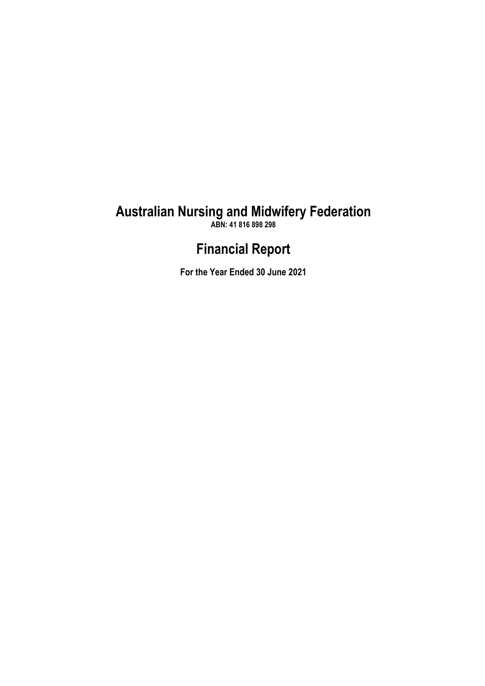**ABN: 41 816 898 298**

# **Financial Report**

**For the Year Ended 30 June 2021**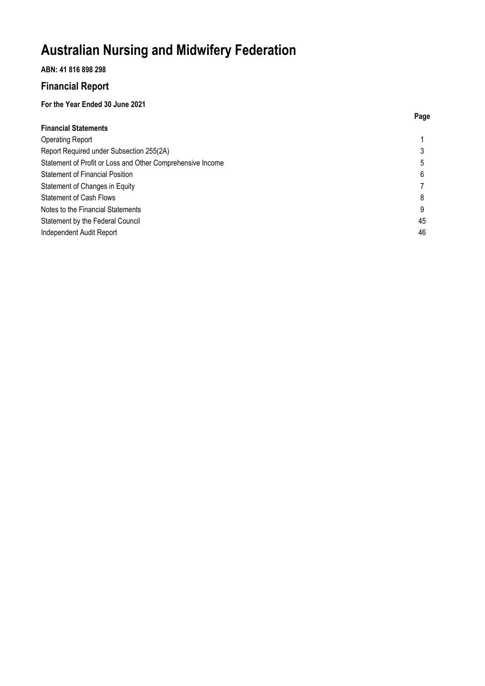# **ABN: 41 816 898 298**

# **Financial Report**

# **For the Year Ended 30 June 2021**

|                                                            | Page |
|------------------------------------------------------------|------|
| <b>Financial Statements</b>                                |      |
| <b>Operating Report</b>                                    |      |
| Report Required under Subsection 255(2A)                   |      |
| Statement of Profit or Loss and Other Comprehensive Income | 5    |
| <b>Statement of Financial Position</b>                     | 6    |
| Statement of Changes in Equity                             |      |
| <b>Statement of Cash Flows</b>                             | 8    |
| Notes to the Financial Statements                          | 9    |
| Statement by the Federal Council                           | 45   |
| Independent Audit Report                                   | 46   |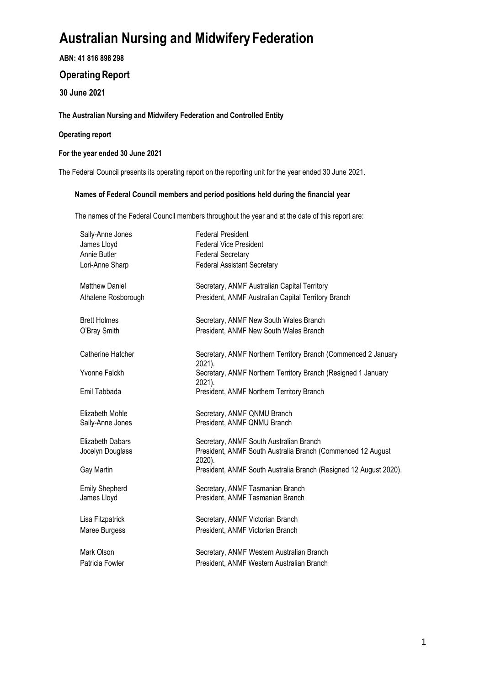**ABN: 41 816 898 298**

# **Operating Report**

**30 June 2021**

# **The Australian Nursing and Midwifery Federation and Controlled Entity**

## **Operating report**

### **For the year ended 30 June 2021**

The Federal Council presents its operating report on the reporting unit for the year ended 30 June 2021.

### **Names of Federal Council members and period positions held during the financial year**

The names of the Federal Council members throughout the year and at the date of this report are:

| Sally-Anne Jones<br>James Lloyd<br>Annie Butler<br>Lori-Anne Sharp | <b>Federal President</b><br><b>Federal Vice President</b><br><b>Federal Secretary</b><br><b>Federal Assistant Secretary</b> |
|--------------------------------------------------------------------|-----------------------------------------------------------------------------------------------------------------------------|
| <b>Matthew Daniel</b><br>Athalene Rosborough                       | Secretary, ANMF Australian Capital Territory<br>President, ANMF Australian Capital Territory Branch                         |
| <b>Brett Holmes</b><br>O'Bray Smith                                | Secretary, ANMF New South Wales Branch<br>President, ANMF New South Wales Branch                                            |
| Catherine Hatcher                                                  | Secretary, ANMF Northern Territory Branch (Commenced 2 January                                                              |
| Yvonne Falckh                                                      | 2021).<br>Secretary, ANMF Northern Territory Branch (Resigned 1 January                                                     |
| Emil Tabbada                                                       | 2021).<br>President, ANMF Northern Territory Branch                                                                         |
| Elizabeth Mohle<br>Sally-Anne Jones                                | Secretary, ANMF QNMU Branch<br>President, ANMF QNMU Branch                                                                  |
| <b>Elizabeth Dabars</b><br>Jocelyn Douglass                        | Secretary, ANMF South Australian Branch<br>President, ANMF South Australia Branch (Commenced 12 August<br>2020).            |
| Gay Martin                                                         | President, ANMF South Australia Branch (Resigned 12 August 2020).                                                           |
| <b>Emily Shepherd</b><br>James Lloyd                               | Secretary, ANMF Tasmanian Branch<br>President, ANMF Tasmanian Branch                                                        |
| Lisa Fitzpatrick                                                   | Secretary, ANMF Victorian Branch                                                                                            |
| Maree Burgess                                                      | President, ANMF Victorian Branch                                                                                            |
| Mark Olson                                                         | Secretary, ANMF Western Australian Branch                                                                                   |
| Patricia Fowler                                                    | President, ANMF Western Australian Branch                                                                                   |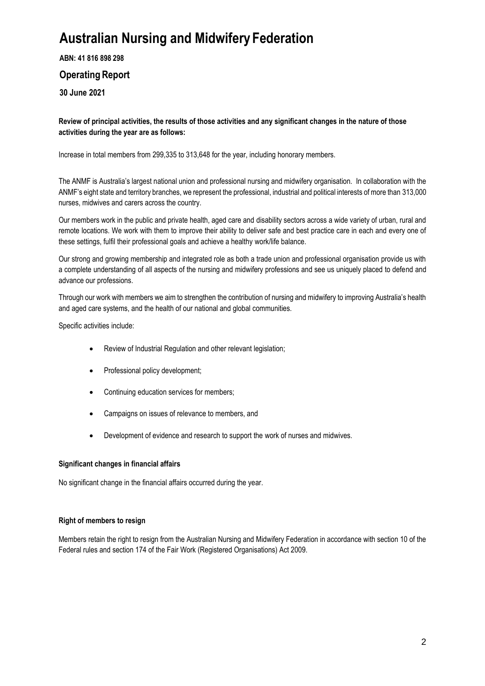**ABN: 41 816 898 298**

# **Operating Report**

**30 June 2021**

**Review of principal activities, the results of those activities and any significant changes in the nature of those activities during the year are as follows:**

Increase in total members from 299,335 to 313,648 for the year, including honorary members.

The ANMF is Australia's largest national union and professional nursing and midwifery organisation. In collaboration with the ANMF's eight state and territory branches, we represent the professional, industrial and political interests of more than 313,000 nurses, midwives and carers across the country.

Our members work in the public and private health, aged care and disability sectors across a wide variety of urban, rural and remote locations. We work with them to improve their ability to deliver safe and best practice care in each and every one of these settings, fulfil their professional goals and achieve a healthy work/life balance.

Our strong and growing membership and integrated role as both a trade union and professional organisation provide us with a complete understanding of all aspects of the nursing and midwifery professions and see us uniquely placed to defend and advance our professions.

Through our work with members we aim to strengthen the contribution of nursing and midwifery to improving Australia's health and aged care systems, and the health of our national and global communities.

Specific activities include:

- Review of Industrial Regulation and other relevant legislation;
- Professional policy development;
- Continuing education services for members;
- Campaigns on issues of relevance to members, and
- Development of evidence and research to support the work of nurses and midwives.

## **Significant changes in financial affairs**

No significant change in the financial affairs occurred during the year.

## **Right of members to resign**

Members retain the right to resign from the Australian Nursing and Midwifery Federation in accordance with section 10 of the Federal rules and section 174 of the Fair Work (Registered Organisations) Act 2009.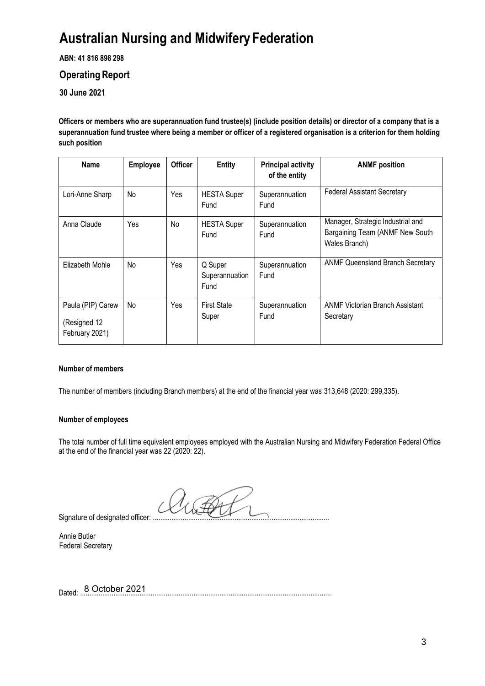**ABN: 41 816 898 298**

# **Operating Report**

**30 June 2021**

**Officers or members who are superannuation fund trustee(s) (include position details) or director of a company that is a superannuation fund trustee where being a member or officer of a registered organisation is a criterion for them holding such position**

| <b>Name</b>                                         | <b>Employee</b> | <b>Officer</b> | <b>Entity</b>                     | <b>Principal activity</b><br>of the entity | <b>ANMF</b> position                                                                  |
|-----------------------------------------------------|-----------------|----------------|-----------------------------------|--------------------------------------------|---------------------------------------------------------------------------------------|
| Lori-Anne Sharp                                     | No              | Yes            | <b>HESTA Super</b><br>Fund        | Superannuation<br>Fund                     | <b>Federal Assistant Secretary</b>                                                    |
| Anna Claude                                         | Yes             | No             | <b>HESTA Super</b><br>Fund        | Superannuation<br>Fund                     | Manager, Strategic Industrial and<br>Bargaining Team (ANMF New South<br>Wales Branch) |
| Elizabeth Mohle                                     | No              | Yes            | Q Super<br>Superannuation<br>Fund | Superannuation<br>Fund                     | <b>ANMF Queensland Branch Secretary</b>                                               |
| Paula (PIP) Carew<br>(Resigned 12<br>February 2021) | No              | Yes            | <b>First State</b><br>Super       | Superannuation<br>Fund                     | <b>ANMF Victorian Branch Assistant</b><br>Secretary                                   |

## **Number of members**

The number of members (including Branch members) at the end of the financial year was 313,648 (2020: 299,335).

### **Number of employees**

The total number of full time equivalent employees employed with the Australian Nursing and Midwifery Federation Federal Office at the end of the financial year was 22 (2020: 22).

Signature of designated officer: .....

Annie Butler Federal Secretary

Dated: ....................................................................................................................................... Dated: 8 October 2021

1. PA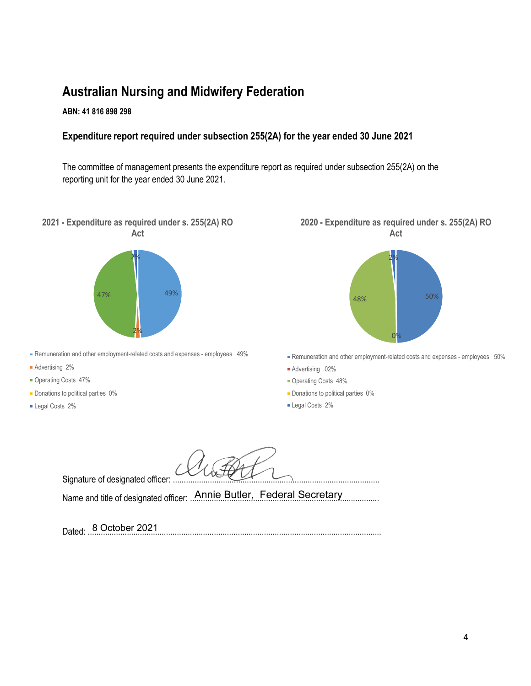# **ABN: 41 816 898 298**

# **Expenditure report required under subsection 255(2A) for the year ended 30 June 2021**

The committee of management presents the expenditure report as required under subsection 255(2A) on the reporting unit for the year ended 30 June 2021.

**2021 - Expenditure as required under s. 255(2A) RO Act**



- Remuneration and other employment-related costs and expenses employees 49%
- Advertising 2%
- Operating Costs 47%
- **-** Donations to political parties 0%
- Legal Costs 2%





Remuneration and other employment-related costs and expenses - employees 50%

- Advertising .02%
- Operating Costs 48%
- Donations to political parties 0%
- **Legal Costs 2%**

Signature of designated officer: ...

Name and title of designated officer: ....................................................................................... Annie Butler, Federal Secretary

Dated: ....................................................................................................................................... 8 October 2021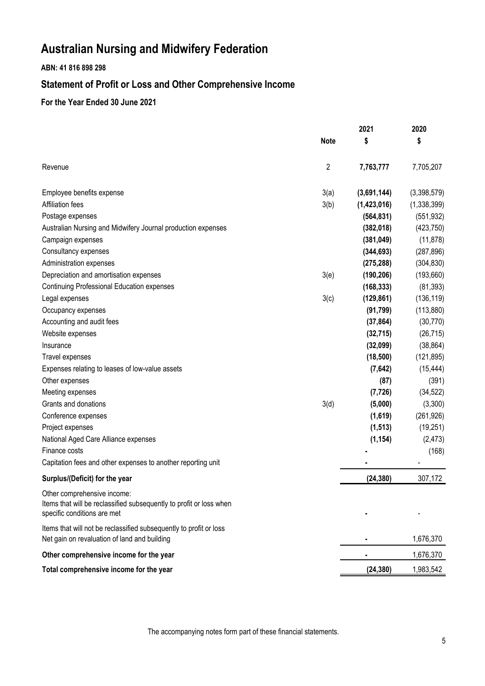# **ABN: 41 816 898 298**

# **Statement of Profit or Loss and Other Comprehensive Income**

# **For the Year Ended 30 June 2021**

|                                                                                                                                   |                | 2021        | 2020        |
|-----------------------------------------------------------------------------------------------------------------------------------|----------------|-------------|-------------|
|                                                                                                                                   | <b>Note</b>    | \$          | \$          |
| Revenue                                                                                                                           | $\overline{2}$ | 7,763,777   | 7,705,207   |
| Employee benefits expense                                                                                                         | 3(a)           | (3,691,144) | (3,398,579) |
| <b>Affiliation fees</b>                                                                                                           | 3(b)           | (1,423,016) | (1,338,399) |
| Postage expenses                                                                                                                  |                | (564, 831)  | (551, 932)  |
| Australian Nursing and Midwifery Journal production expenses                                                                      |                | (382, 018)  | (423, 750)  |
| Campaign expenses                                                                                                                 |                | (381, 049)  | (11, 878)   |
| Consultancy expenses                                                                                                              |                | (344, 693)  | (287, 896)  |
| Administration expenses                                                                                                           |                | (275, 288)  | (304, 830)  |
| Depreciation and amortisation expenses                                                                                            | 3(e)           | (190, 206)  | (193, 660)  |
| <b>Continuing Professional Education expenses</b>                                                                                 |                | (168, 333)  | (81, 393)   |
| Legal expenses                                                                                                                    | 3(c)           | (129, 861)  | (136, 119)  |
| Occupancy expenses                                                                                                                |                | (91, 799)   | (113, 880)  |
| Accounting and audit fees                                                                                                         |                | (37, 864)   | (30, 770)   |
| Website expenses                                                                                                                  |                | (32, 715)   | (26, 715)   |
| Insurance                                                                                                                         |                | (32,099)    | (38, 864)   |
| Travel expenses                                                                                                                   |                | (18, 500)   | (121, 895)  |
| Expenses relating to leases of low-value assets                                                                                   |                | (7,642)     | (15, 444)   |
| Other expenses                                                                                                                    |                | (87)        | (391)       |
| Meeting expenses                                                                                                                  |                | (7, 726)    | (34, 522)   |
| Grants and donations                                                                                                              | 3(d)           | (5,000)     | (3,300)     |
| Conference expenses                                                                                                               |                | (1,619)     | (261, 926)  |
| Project expenses                                                                                                                  |                | (1, 513)    | (19, 251)   |
| National Aged Care Alliance expenses                                                                                              |                | (1, 154)    | (2, 473)    |
| Finance costs                                                                                                                     |                |             | (168)       |
| Capitation fees and other expenses to another reporting unit                                                                      |                |             |             |
| Surplus/(Deficit) for the year                                                                                                    |                | (24, 380)   | 307,172     |
| Other comprehensive income:<br>Items that will be reclassified subsequently to profit or loss when<br>specific conditions are met |                |             |             |
| Items that will not be reclassified subsequently to profit or loss<br>Net gain on revaluation of land and building                |                |             | 1,676,370   |
| Other comprehensive income for the year                                                                                           |                |             | 1,676,370   |
| Total comprehensive income for the year                                                                                           |                | (24, 380)   | 1,983,542   |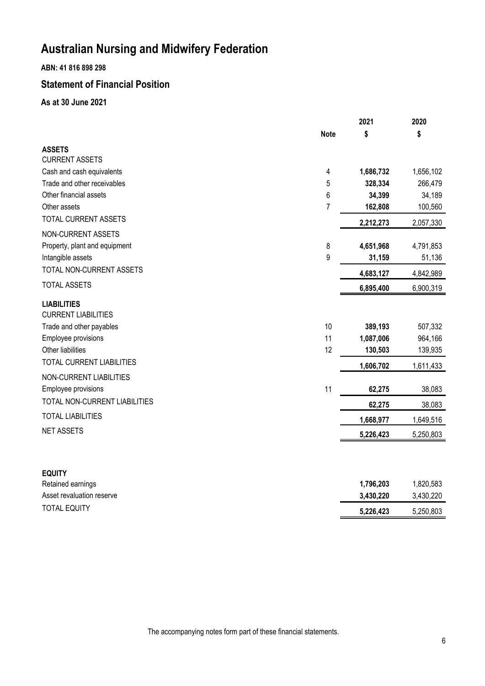**ABN: 41 816 898 298**

# **Statement of Financial Position**

**As at 30 June 2021**

|                                                  |             | 2021      | 2020      |
|--------------------------------------------------|-------------|-----------|-----------|
|                                                  | <b>Note</b> | \$        | \$        |
| <b>ASSETS</b>                                    |             |           |           |
| <b>CURRENT ASSETS</b>                            |             |           |           |
| Cash and cash equivalents                        | 4           | 1,686,732 | 1,656,102 |
| Trade and other receivables                      | 5           | 328,334   | 266,479   |
| Other financial assets                           | 6           | 34,399    | 34,189    |
| Other assets                                     | 7           | 162,808   | 100,560   |
| TOTAL CURRENT ASSETS                             |             | 2,212,273 | 2,057,330 |
| NON-CURRENT ASSETS                               |             |           |           |
| Property, plant and equipment                    | 8           | 4,651,968 | 4,791,853 |
| Intangible assets                                | 9           | 31,159    | 51,136    |
| TOTAL NON-CURRENT ASSETS                         |             | 4,683,127 | 4,842,989 |
| <b>TOTAL ASSETS</b>                              |             | 6,895,400 | 6,900,319 |
| <b>LIABILITIES</b><br><b>CURRENT LIABILITIES</b> |             |           |           |
| Trade and other payables                         | 10          | 389,193   | 507,332   |
| Employee provisions                              | 11          | 1,087,006 | 964,166   |
| Other liabilities                                | 12          | 130,503   | 139,935   |
| <b>TOTAL CURRENT LIABILITIES</b>                 |             | 1,606,702 | 1,611,433 |
| NON-CURRENT LIABILITIES                          |             |           |           |
| Employee provisions                              | 11          | 62,275    | 38,083    |
| TOTAL NON-CURRENT LIABILITIES                    |             | 62,275    | 38,083    |
| <b>TOTAL LIABILITIES</b>                         |             | 1,668,977 | 1,649,516 |
| <b>NET ASSETS</b>                                |             | 5,226,423 | 5,250,803 |
|                                                  |             |           |           |
| <b>EQUITY</b>                                    |             |           |           |
| Retained earnings                                |             | 1,796,203 | 1,820,583 |
| Asset revaluation reserve                        |             | 3,430,220 | 3,430,220 |
| <b>TOTAL EQUITY</b>                              |             | 5,226,423 | 5,250,803 |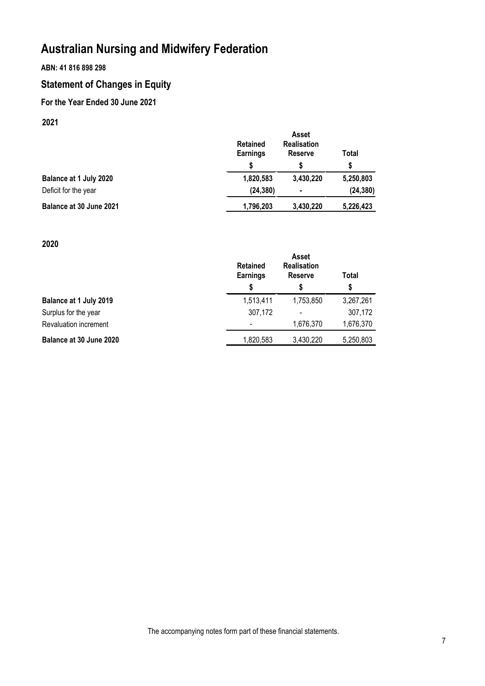# **ABN: 41 816 898 298**

# **Statement of Changes in Equity**

# **For the Year Ended 30 June 2021**

# **2021**

|                         | <b>Retained</b><br><b>Earnings</b><br>S | <b>Asset</b><br><b>Realisation</b><br><b>Reserve</b> | Total<br>S |
|-------------------------|-----------------------------------------|------------------------------------------------------|------------|
| Balance at 1 July 2020  | 1,820,583                               | 3,430,220                                            | 5,250,803  |
| Deficit for the year    | (24, 380)                               | $\blacksquare$                                       | (24, 380)  |
| Balance at 30 June 2021 | 1,796,203                               | 3,430,220                                            | 5,226,423  |

# **2020**

|                         | <b>Retained</b><br><b>Earnings</b> | <b>Asset</b><br><b>Realisation</b><br><b>Reserve</b> | Total     |
|-------------------------|------------------------------------|------------------------------------------------------|-----------|
|                         | \$                                 | \$                                                   | \$        |
| Balance at 1 July 2019  | 1,513,411                          | 1,753,850                                            | 3,267,261 |
| Surplus for the year    | 307,172                            |                                                      | 307,172   |
| Revaluation increment   | $\overline{\phantom{0}}$           | 1,676,370                                            | 1,676,370 |
| Balance at 30 June 2020 | 1,820,583                          | 3,430,220                                            | 5,250,803 |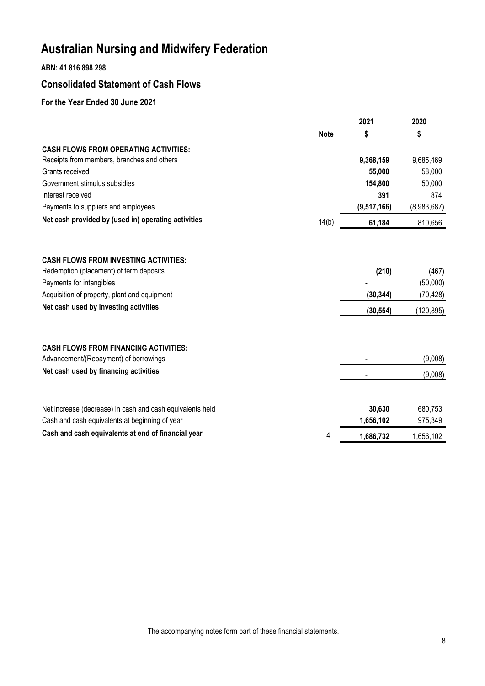# **ABN: 41 816 898 298**

# **Consolidated Statement of Cash Flows**

# **For the Year Ended 30 June 2021**

|                                                                                         |             | 2021        | 2020        |
|-----------------------------------------------------------------------------------------|-------------|-------------|-------------|
|                                                                                         | <b>Note</b> | \$          | \$          |
| <b>CASH FLOWS FROM OPERATING ACTIVITIES:</b>                                            |             |             |             |
| Receipts from members, branches and others                                              |             | 9,368,159   | 9,685,469   |
| Grants received                                                                         |             | 55,000      | 58,000      |
| Government stimulus subsidies                                                           |             | 154,800     | 50,000      |
| Interest received                                                                       |             | 391         | 874         |
| Payments to suppliers and employees                                                     |             | (9,517,166) | (8,983,687) |
| Net cash provided by (used in) operating activities                                     | 14(b)       | 61,184      | 810,656     |
|                                                                                         |             |             |             |
| <b>CASH FLOWS FROM INVESTING ACTIVITIES:</b><br>Redemption (placement) of term deposits |             | (210)       | (467)       |
| Payments for intangibles                                                                |             |             | (50,000)    |
| Acquisition of property, plant and equipment                                            |             | (30, 344)   | (70, 428)   |
| Net cash used by investing activities                                                   |             |             |             |
|                                                                                         |             | (30, 554)   | (120, 895)  |
| <b>CASH FLOWS FROM FINANCING ACTIVITIES:</b>                                            |             |             |             |
| Advancement/(Repayment) of borrowings                                                   |             |             | (9,008)     |
| Net cash used by financing activities                                                   |             |             | (9,008)     |
|                                                                                         |             |             |             |
| Net increase (decrease) in cash and cash equivalents held                               |             | 30,630      | 680,753     |
| Cash and cash equivalents at beginning of year                                          |             | 1,656,102   | 975,349     |
| Cash and cash equivalents at end of financial year                                      | 4           | 1,686,732   | 1,656,102   |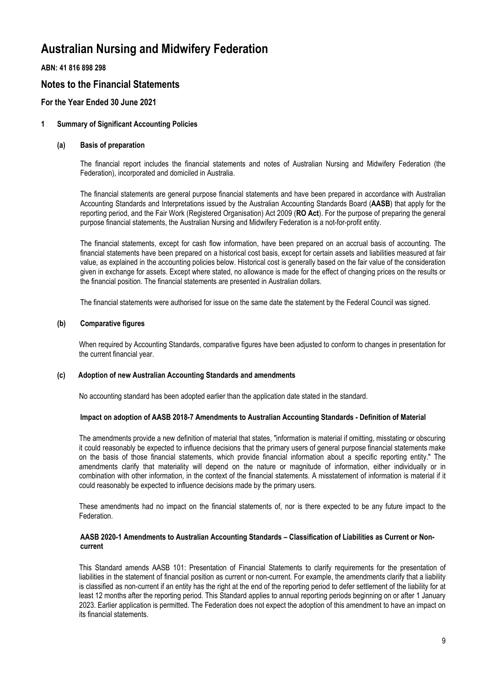**ABN: 41 816 898 298**

# **Notes to the Financial Statements**

## **For the Year Ended 30 June 2021**

### **1 Summary of Significant Accounting Policies**

### **(a) Basis of preparation**

The financial report includes the financial statements and notes of Australian Nursing and Midwifery Federation (the Federation), incorporated and domiciled in Australia.

The financial statements are general purpose financial statements and have been prepared in accordance with Australian Accounting Standards and Interpretations issued by the Australian Accounting Standards Board (**AASB**) that apply for the reporting period, and the Fair Work (Registered Organisation) Act 2009 (**RO Act**). For the purpose of preparing the general purpose financial statements, the Australian Nursing and Midwifery Federation is a not-for-profit entity.

The financial statements, except for cash flow information, have been prepared on an accrual basis of accounting. The financial statements have been prepared on a historical cost basis, except for certain assets and liabilities measured at fair value, as explained in the accounting policies below. Historical cost is generally based on the fair value of the consideration given in exchange for assets. Except where stated, no allowance is made for the effect of changing prices on the results or the financial position. The financial statements are presented in Australian dollars.

The financial statements were authorised for issue on the same date the statement by the Federal Council was signed.

### **(b) Comparative figures**

When required by Accounting Standards, comparative figures have been adjusted to conform to changes in presentation for the current financial year.

#### **(c) Adoption of new Australian Accounting Standards and amendments**

No accounting standard has been adopted earlier than the application date stated in the standard.

#### **Impact on adoption of AASB 2018-7 Amendments to Australian Accounting Standards - Definition of Material**

The amendments provide a new definition of material that states, "information is material if omitting, misstating or obscuring it could reasonably be expected to influence decisions that the primary users of general purpose financial statements make on the basis of those financial statements, which provide financial information about a specific reporting entity." The amendments clarify that materiality will depend on the nature or magnitude of information, either individually or in combination with other information, in the context of the financial statements. A misstatement of information is material if it could reasonably be expected to influence decisions made by the primary users.

These amendments had no impact on the financial statements of, nor is there expected to be any future impact to the Federation.

#### **AASB 2020-1 Amendments to Australian Accounting Standards – Classification of Liabilities as Current or Noncurrent**

This Standard amends AASB 101: Presentation of Financial Statements to clarify requirements for the presentation of liabilities in the statement of financial position as current or non-current. For example, the amendments clarify that a liability is classified as non-current if an entity has the right at the end of the reporting period to defer settlement of the liability for at least 12 months after the reporting period. This Standard applies to annual reporting periods beginning on or after 1 January 2023. Earlier application is permitted. The Federation does not expect the adoption of this amendment to have an impact on its financial statements.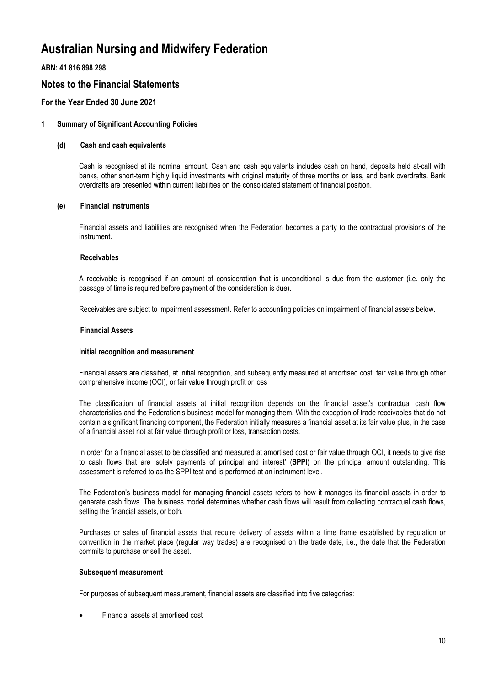**ABN: 41 816 898 298**

# **Notes to the Financial Statements**

## **For the Year Ended 30 June 2021**

### **1 Summary of Significant Accounting Policies**

#### **(d) Cash and cash equivalents**

Cash is recognised at its nominal amount. Cash and cash equivalents includes cash on hand, deposits held at-call with banks, other short-term highly liquid investments with original maturity of three months or less, and bank overdrafts. Bank overdrafts are presented within current liabilities on the consolidated statement of financial position.

### **(e) Financial instruments**

Financial assets and liabilities are recognised when the Federation becomes a party to the contractual provisions of the instrument.

#### **Receivables**

A receivable is recognised if an amount of consideration that is unconditional is due from the customer (i.e. only the passage of time is required before payment of the consideration is due).

Receivables are subject to impairment assessment. Refer to accounting policies on impairment of financial assets below.

#### **Financial Assets**

#### **Initial recognition and measurement**

Financial assets are classified, at initial recognition, and subsequently measured at amortised cost, fair value through other comprehensive income (OCI), or fair value through profit or loss

The classification of financial assets at initial recognition depends on the financial asset's contractual cash flow characteristics and the Federation's business model for managing them. With the exception of trade receivables that do not contain a significant financing component, the Federation initially measures a financial asset at its fair value plus, in the case of a financial asset not at fair value through profit or loss, transaction costs.

In order for a financial asset to be classified and measured at amortised cost or fair value through OCI, it needs to give rise to cash flows that are 'solely payments of principal and interest' (**SPPI**) on the principal amount outstanding. This assessment is referred to as the SPPI test and is performed at an instrument level.

The Federation's business model for managing financial assets refers to how it manages its financial assets in order to generate cash flows. The business model determines whether cash flows will result from collecting contractual cash flows, selling the financial assets, or both.

Purchases or sales of financial assets that require delivery of assets within a time frame established by regulation or convention in the market place (regular way trades) are recognised on the trade date, i.e., the date that the Federation commits to purchase or sell the asset.

#### **Subsequent measurement**

For purposes of subsequent measurement, financial assets are classified into five categories:

Financial assets at amortised cost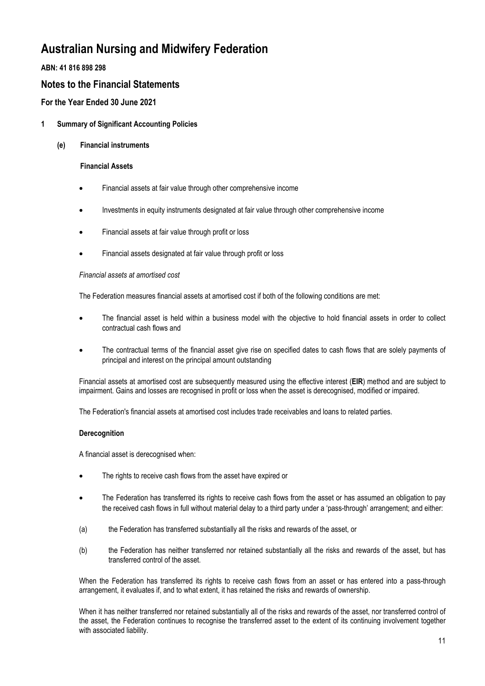**ABN: 41 816 898 298**

# **Notes to the Financial Statements**

**For the Year Ended 30 June 2021**

## **1 Summary of Significant Accounting Policies**

### **(e) Financial instruments**

### **Financial Assets**

- Financial assets at fair value through other comprehensive income
- Investments in equity instruments designated at fair value through other comprehensive income
- Financial assets at fair value through profit or loss
- Financial assets designated at fair value through profit or loss

### *Financial assets at amortised cost*

The Federation measures financial assets at amortised cost if both of the following conditions are met:

- The financial asset is held within a business model with the objective to hold financial assets in order to collect contractual cash flows and
- The contractual terms of the financial asset give rise on specified dates to cash flows that are solely payments of principal and interest on the principal amount outstanding

Financial assets at amortised cost are subsequently measured using the effective interest (**EIR**) method and are subject to impairment. Gains and losses are recognised in profit or loss when the asset is derecognised, modified or impaired.

The Federation's financial assets at amortised cost includes trade receivables and loans to related parties.

### **Derecognition**

A financial asset is derecognised when:

- The rights to receive cash flows from the asset have expired or
- The Federation has transferred its rights to receive cash flows from the asset or has assumed an obligation to pay the received cash flows in full without material delay to a third party under a 'pass-through' arrangement; and either:
- (a) the Federation has transferred substantially all the risks and rewards of the asset, or
- (b) the Federation has neither transferred nor retained substantially all the risks and rewards of the asset, but has transferred control of the asset.

When the Federation has transferred its rights to receive cash flows from an asset or has entered into a pass-through arrangement, it evaluates if, and to what extent, it has retained the risks and rewards of ownership.

When it has neither transferred nor retained substantially all of the risks and rewards of the asset, nor transferred control of the asset, the Federation continues to recognise the transferred asset to the extent of its continuing involvement together with associated liability.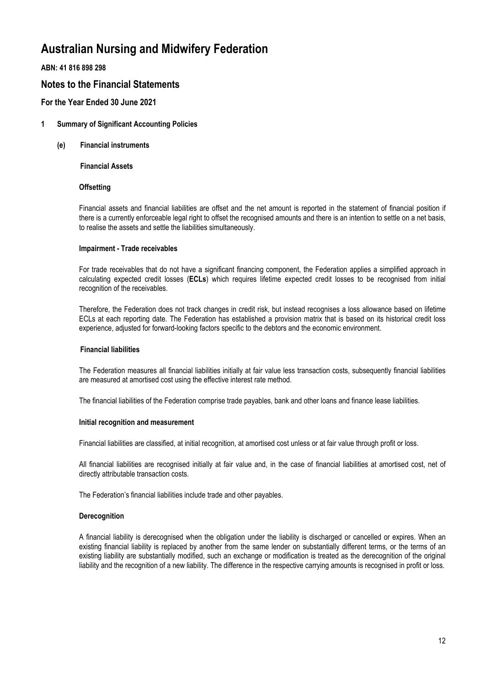**ABN: 41 816 898 298**

# **Notes to the Financial Statements**

## **For the Year Ended 30 June 2021**

### **1 Summary of Significant Accounting Policies**

**(e) Financial instruments**

**Financial Assets**

### **Offsetting**

Financial assets and financial liabilities are offset and the net amount is reported in the statement of financial position if there is a currently enforceable legal right to offset the recognised amounts and there is an intention to settle on a net basis, to realise the assets and settle the liabilities simultaneously.

#### **Impairment - Trade receivables**

For trade receivables that do not have a significant financing component, the Federation applies a simplified approach in calculating expected credit losses (**ECLs**) which requires lifetime expected credit losses to be recognised from initial recognition of the receivables.

Therefore, the Federation does not track changes in credit risk, but instead recognises a loss allowance based on lifetime ECLs at each reporting date. The Federation has established a provision matrix that is based on its historical credit loss experience, adjusted for forward-looking factors specific to the debtors and the economic environment.

#### **Financial liabilities**

The Federation measures all financial liabilities initially at fair value less transaction costs, subsequently financial liabilities are measured at amortised cost using the effective interest rate method.

The financial liabilities of the Federation comprise trade payables, bank and other loans and finance lease liabilities.

#### **Initial recognition and measurement**

Financial liabilities are classified, at initial recognition, at amortised cost unless or at fair value through profit or loss.

All financial liabilities are recognised initially at fair value and, in the case of financial liabilities at amortised cost, net of directly attributable transaction costs.

The Federation's financial liabilities include trade and other payables.

#### **Derecognition**

A financial liability is derecognised when the obligation under the liability is discharged or cancelled or expires. When an existing financial liability is replaced by another from the same lender on substantially different terms, or the terms of an existing liability are substantially modified, such an exchange or modification is treated as the derecognition of the original liability and the recognition of a new liability. The difference in the respective carrying amounts is recognised in profit or loss.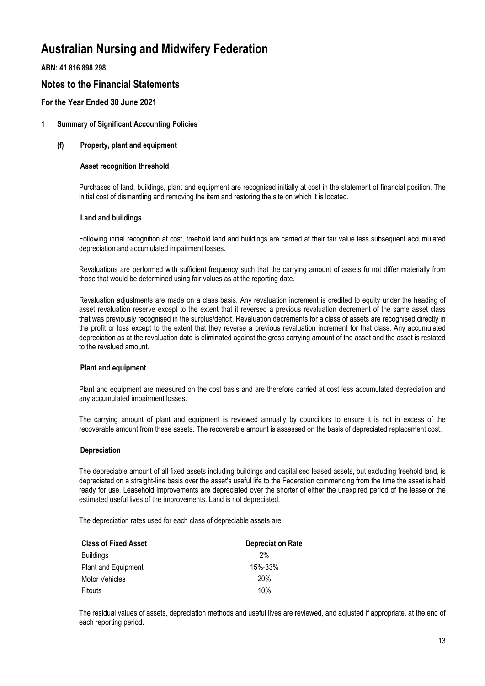**ABN: 41 816 898 298**

# **Notes to the Financial Statements**

## **For the Year Ended 30 June 2021**

### **1 Summary of Significant Accounting Policies**

### **(f) Property, plant and equipment**

#### **Asset recognition threshold**

Purchases of land, buildings, plant and equipment are recognised initially at cost in the statement of financial position. The initial cost of dismantling and removing the item and restoring the site on which it is located.

#### **Land and buildings**

Following initial recognition at cost, freehold land and buildings are carried at their fair value less subsequent accumulated depreciation and accumulated impairment losses.

Revaluations are performed with sufficient frequency such that the carrying amount of assets fo not differ materially from those that would be determined using fair values as at the reporting date.

Revaluation adjustments are made on a class basis. Any revaluation increment is credited to equity under the heading of asset revaluation reserve except to the extent that it reversed a previous revaluation decrement of the same asset class that was previously recognised in the surplus/deficit. Revaluation decrements for a class of assets are recognised directly in the profit or loss except to the extent that they reverse a previous revaluation increment for that class. Any accumulated depreciation as at the revaluation date is eliminated against the gross carrying amount of the asset and the asset is restated to the revalued amount.

#### **Plant and equipment**

Plant and equipment are measured on the cost basis and are therefore carried at cost less accumulated depreciation and any accumulated impairment losses.

The carrying amount of plant and equipment is reviewed annually by councillors to ensure it is not in excess of the recoverable amount from these assets. The recoverable amount is assessed on the basis of depreciated replacement cost.

#### **Depreciation**

The depreciable amount of all fixed assets including buildings and capitalised leased assets, but excluding freehold land, is depreciated on a straight-line basis over the asset's useful life to the Federation commencing from the time the asset is held ready for use. Leasehold improvements are depreciated over the shorter of either the unexpired period of the lease or the estimated useful lives of the improvements. Land is not depreciated.

The depreciation rates used for each class of depreciable assets are:

| <b>Class of Fixed Asset</b> | <b>Depreciation Rate</b> |
|-----------------------------|--------------------------|
| <b>Buildings</b>            | 2%                       |
| Plant and Equipment         | 15%-33%                  |
| <b>Motor Vehicles</b>       | <b>20%</b>               |
| Fitouts                     | 10%                      |

The residual values of assets, depreciation methods and useful lives are reviewed, and adjusted if appropriate, at the end of each reporting period.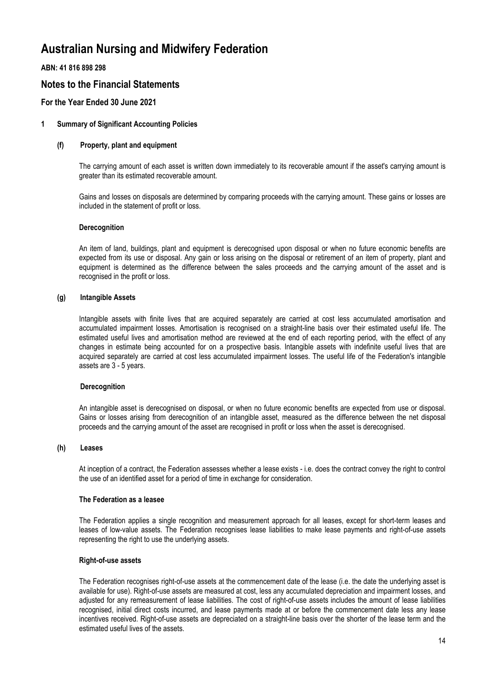**ABN: 41 816 898 298**

# **Notes to the Financial Statements**

## **For the Year Ended 30 June 2021**

### **1 Summary of Significant Accounting Policies**

#### **(f) Property, plant and equipment**

The carrying amount of each asset is written down immediately to its recoverable amount if the asset's carrying amount is greater than its estimated recoverable amount.

Gains and losses on disposals are determined by comparing proceeds with the carrying amount. These gains or losses are included in the statement of profit or loss.

#### **Derecognition**

An item of land, buildings, plant and equipment is derecognised upon disposal or when no future economic benefits are expected from its use or disposal. Any gain or loss arising on the disposal or retirement of an item of property, plant and equipment is determined as the difference between the sales proceeds and the carrying amount of the asset and is recognised in the profit or loss.

### **(g) Intangible Assets**

Intangible assets with finite lives that are acquired separately are carried at cost less accumulated amortisation and accumulated impairment losses. Amortisation is recognised on a straight-line basis over their estimated useful life. The estimated useful lives and amortisation method are reviewed at the end of each reporting period, with the effect of any changes in estimate being accounted for on a prospective basis. Intangible assets with indefinite useful lives that are acquired separately are carried at cost less accumulated impairment losses. The useful life of the Federation's intangible assets are 3 - 5 years.

#### **Derecognition**

An intangible asset is derecognised on disposal, or when no future economic benefits are expected from use or disposal. Gains or losses arising from derecognition of an intangible asset, measured as the difference between the net disposal proceeds and the carrying amount of the asset are recognised in profit or loss when the asset is derecognised.

#### **(h) Leases**

At inception of a contract, the Federation assesses whether a lease exists - i.e. does the contract convey the right to control the use of an identified asset for a period of time in exchange for consideration.

#### **The Federation as a leasee**

The Federation applies a single recognition and measurement approach for all leases, except for short-term leases and leases of low-value assets. The Federation recognises lease liabilities to make lease payments and right-of-use assets representing the right to use the underlying assets.

#### **Right-of-use assets**

The Federation recognises right-of-use assets at the commencement date of the lease (i.e. the date the underlying asset is available for use). Right-of-use assets are measured at cost, less any accumulated depreciation and impairment losses, and adjusted for any remeasurement of lease liabilities. The cost of right-of-use assets includes the amount of lease liabilities recognised, initial direct costs incurred, and lease payments made at or before the commencement date less any lease incentives received. Right-of-use assets are depreciated on a straight-line basis over the shorter of the lease term and the estimated useful lives of the assets.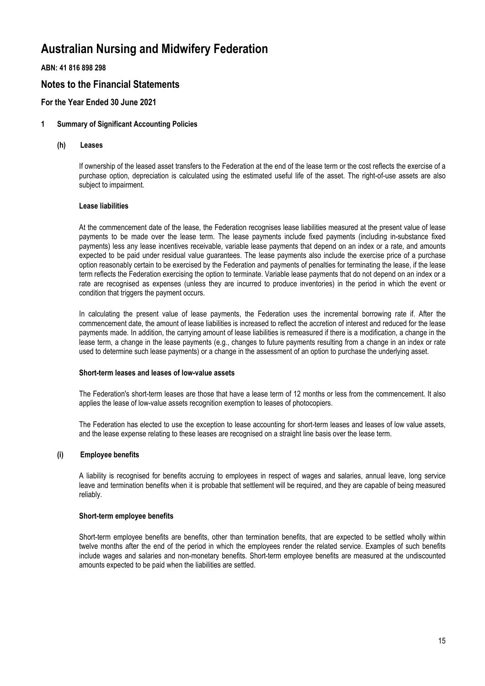**ABN: 41 816 898 298**

# **Notes to the Financial Statements**

# **For the Year Ended 30 June 2021**

### **1 Summary of Significant Accounting Policies**

#### **(h) Leases**

If ownership of the leased asset transfers to the Federation at the end of the lease term or the cost reflects the exercise of a purchase option, depreciation is calculated using the estimated useful life of the asset. The right-of-use assets are also subject to impairment.

### **Lease liabilities**

At the commencement date of the lease, the Federation recognises lease liabilities measured at the present value of lease payments to be made over the lease term. The lease payments include fixed payments (including in-substance fixed payments) less any lease incentives receivable, variable lease payments that depend on an index or a rate, and amounts expected to be paid under residual value guarantees. The lease payments also include the exercise price of a purchase option reasonably certain to be exercised by the Federation and payments of penalties for terminating the lease, if the lease term reflects the Federation exercising the option to terminate. Variable lease payments that do not depend on an index or a rate are recognised as expenses (unless they are incurred to produce inventories) in the period in which the event or condition that triggers the payment occurs.

In calculating the present value of lease payments, the Federation uses the incremental borrowing rate if. After the commencement date, the amount of lease liabilities is increased to reflect the accretion of interest and reduced for the lease payments made. In addition, the carrying amount of lease liabilities is remeasured if there is a modification, a change in the lease term, a change in the lease payments (e.g., changes to future payments resulting from a change in an index or rate used to determine such lease payments) or a change in the assessment of an option to purchase the underlying asset.

#### **Short-term leases and leases of low-value assets**

The Federation's short-term leases are those that have a lease term of 12 months or less from the commencement. It also applies the lease of low-value assets recognition exemption to leases of photocopiers.

The Federation has elected to use the exception to lease accounting for short-term leases and leases of low value assets, and the lease expense relating to these leases are recognised on a straight line basis over the lease term.

#### **(i) Employee benefits**

A liability is recognised for benefits accruing to employees in respect of wages and salaries, annual leave, long service leave and termination benefits when it is probable that settlement will be required, and they are capable of being measured reliably.

#### **Short-term employee benefits**

Short-term employee benefits are benefits, other than termination benefits, that are expected to be settled wholly within twelve months after the end of the period in which the employees render the related service. Examples of such benefits include wages and salaries and non-monetary benefits. Short-term employee benefits are measured at the undiscounted amounts expected to be paid when the liabilities are settled.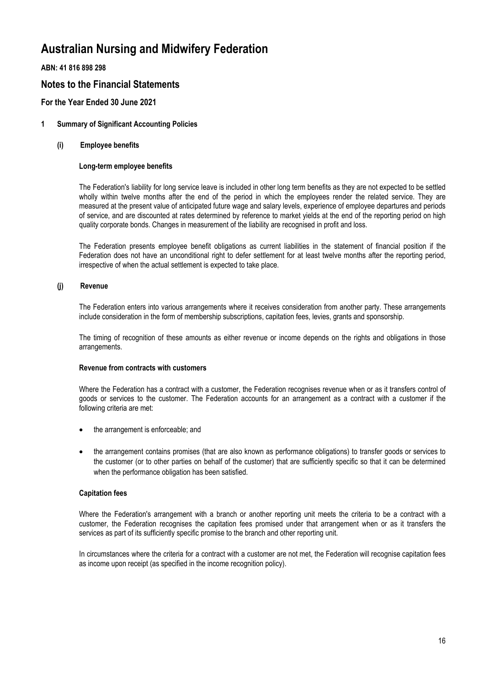**ABN: 41 816 898 298**

# **Notes to the Financial Statements**

# **For the Year Ended 30 June 2021**

### **1 Summary of Significant Accounting Policies**

### **(i) Employee benefits**

### **Long-term employee benefits**

The Federation's liability for long service leave is included in other long term benefits as they are not expected to be settled wholly within twelve months after the end of the period in which the employees render the related service. They are measured at the present value of anticipated future wage and salary levels, experience of employee departures and periods of service, and are discounted at rates determined by reference to market yields at the end of the reporting period on high quality corporate bonds. Changes in measurement of the liability are recognised in profit and loss.

The Federation presents employee benefit obligations as current liabilities in the statement of financial position if the Federation does not have an unconditional right to defer settlement for at least twelve months after the reporting period, irrespective of when the actual settlement is expected to take place.

### **(j) Revenue**

The Federation enters into various arrangements where it receives consideration from another party. These arrangements include consideration in the form of membership subscriptions, capitation fees, levies, grants and sponsorship.

The timing of recognition of these amounts as either revenue or income depends on the rights and obligations in those arrangements.

#### **Revenue from contracts with customers**

Where the Federation has a contract with a customer, the Federation recognises revenue when or as it transfers control of goods or services to the customer. The Federation accounts for an arrangement as a contract with a customer if the following criteria are met:

- the arrangement is enforceable; and
- the arrangement contains promises (that are also known as performance obligations) to transfer goods or services to the customer (or to other parties on behalf of the customer) that are sufficiently specific so that it can be determined when the performance obligation has been satisfied.

#### **Capitation fees**

Where the Federation's arrangement with a branch or another reporting unit meets the criteria to be a contract with a customer, the Federation recognises the capitation fees promised under that arrangement when or as it transfers the services as part of its sufficiently specific promise to the branch and other reporting unit.

In circumstances where the criteria for a contract with a customer are not met, the Federation will recognise capitation fees as income upon receipt (as specified in the income recognition policy).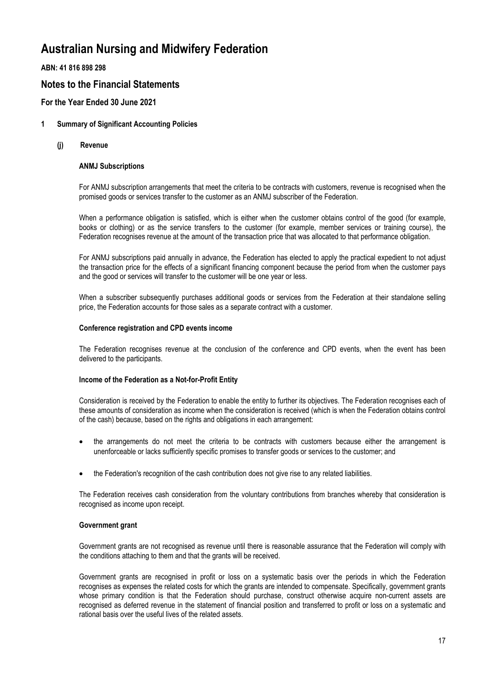**ABN: 41 816 898 298**

# **Notes to the Financial Statements**

## **For the Year Ended 30 June 2021**

### **1 Summary of Significant Accounting Policies**

**(j) Revenue**

### **ANMJ Subscriptions**

For ANMJ subscription arrangements that meet the criteria to be contracts with customers, revenue is recognised when the promised goods or services transfer to the customer as an ANMJ subscriber of the Federation.

When a performance obligation is satisfied, which is either when the customer obtains control of the good (for example, books or clothing) or as the service transfers to the customer (for example, member services or training course), the Federation recognises revenue at the amount of the transaction price that was allocated to that performance obligation.

For ANMJ subscriptions paid annually in advance, the Federation has elected to apply the practical expedient to not adjust the transaction price for the effects of a significant financing component because the period from when the customer pays and the good or services will transfer to the customer will be one year or less.

When a subscriber subsequently purchases additional goods or services from the Federation at their standalone selling price, the Federation accounts for those sales as a separate contract with a customer.

#### **Conference registration and CPD events income**

The Federation recognises revenue at the conclusion of the conference and CPD events, when the event has been delivered to the participants.

#### **Income of the Federation as a Not-for-Profit Entity**

Consideration is received by the Federation to enable the entity to further its objectives. The Federation recognises each of these amounts of consideration as income when the consideration is received (which is when the Federation obtains control of the cash) because, based on the rights and obligations in each arrangement:

- the arrangements do not meet the criteria to be contracts with customers because either the arrangement is unenforceable or lacks sufficiently specific promises to transfer goods or services to the customer; and
- the Federation's recognition of the cash contribution does not give rise to any related liabilities.

The Federation receives cash consideration from the voluntary contributions from branches whereby that consideration is recognised as income upon receipt.

### **Government grant**

Government grants are not recognised as revenue until there is reasonable assurance that the Federation will comply with the conditions attaching to them and that the grants will be received.

Government grants are recognised in profit or loss on a systematic basis over the periods in which the Federation recognises as expenses the related costs for which the grants are intended to compensate. Specifically, government grants whose primary condition is that the Federation should purchase, construct otherwise acquire non-current assets are recognised as deferred revenue in the statement of financial position and transferred to profit or loss on a systematic and rational basis over the useful lives of the related assets.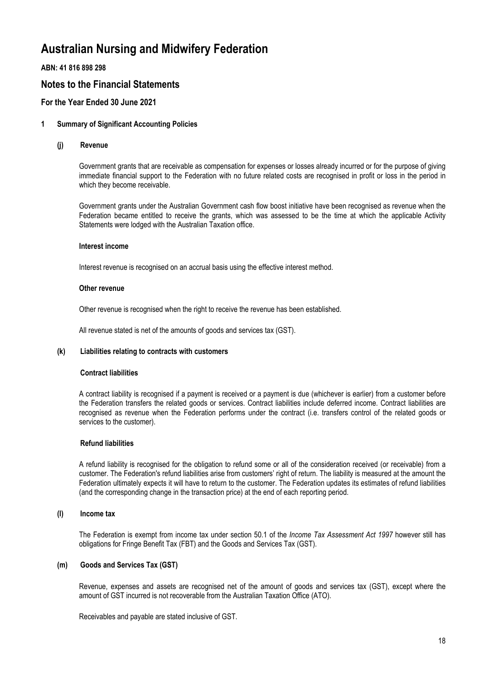**ABN: 41 816 898 298**

# **Notes to the Financial Statements**

## **For the Year Ended 30 June 2021**

### **1 Summary of Significant Accounting Policies**

#### **(j) Revenue**

Government grants that are receivable as compensation for expenses or losses already incurred or for the purpose of giving immediate financial support to the Federation with no future related costs are recognised in profit or loss in the period in which they become receivable.

Government grants under the Australian Government cash flow boost initiative have been recognised as revenue when the Federation became entitled to receive the grants, which was assessed to be the time at which the applicable Activity Statements were lodged with the Australian Taxation office.

#### **Interest income**

Interest revenue is recognised on an accrual basis using the effective interest method.

#### **Other revenue**

Other revenue is recognised when the right to receive the revenue has been established.

All revenue stated is net of the amounts of goods and services tax (GST).

### **(k) Liabilities relating to contracts with customers**

#### **Contract liabilities**

A contract liability is recognised if a payment is received or a payment is due (whichever is earlier) from a customer before the Federation transfers the related goods or services. Contract liabilities include deferred income. Contract liabilities are recognised as revenue when the Federation performs under the contract (i.e. transfers control of the related goods or services to the customer).

### **Refund liabilities**

A refund liability is recognised for the obligation to refund some or all of the consideration received (or receivable) from a customer. The Federation's refund liabilities arise from customers' right of return. The liability is measured at the amount the Federation ultimately expects it will have to return to the customer. The Federation updates its estimates of refund liabilities (and the corresponding change in the transaction price) at the end of each reporting period.

### **(l) Income tax**

The Federation is exempt from income tax under section 50.1 of the *Income Tax Assessment Act 1997* however still has obligations for Fringe Benefit Tax (FBT) and the Goods and Services Tax (GST).

### **(m) Goods and Services Tax (GST)**

Revenue, expenses and assets are recognised net of the amount of goods and services tax (GST), except where the amount of GST incurred is not recoverable from the Australian Taxation Office (ATO).

Receivables and payable are stated inclusive of GST.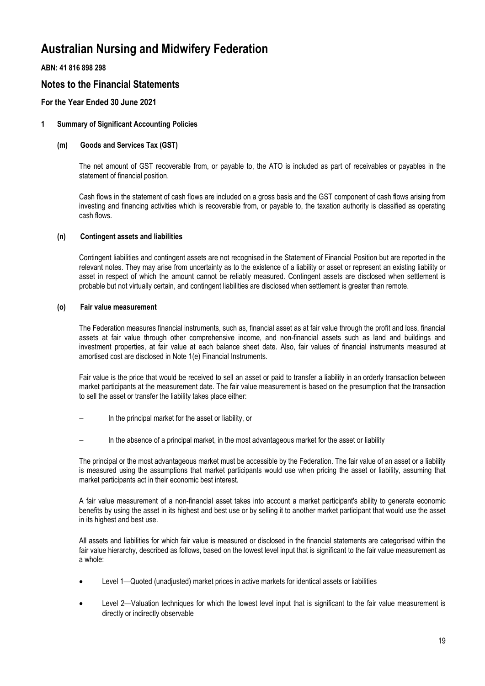**ABN: 41 816 898 298**

# **Notes to the Financial Statements**

## **For the Year Ended 30 June 2021**

### **1 Summary of Significant Accounting Policies**

### **(m) Goods and Services Tax (GST)**

The net amount of GST recoverable from, or payable to, the ATO is included as part of receivables or payables in the statement of financial position.

Cash flows in the statement of cash flows are included on a gross basis and the GST component of cash flows arising from investing and financing activities which is recoverable from, or payable to, the taxation authority is classified as operating cash flows.

### **(n) Contingent assets and liabilities**

Contingent liabilities and contingent assets are not recognised in the Statement of Financial Position but are reported in the relevant notes. They may arise from uncertainty as to the existence of a liability or asset or represent an existing liability or asset in respect of which the amount cannot be reliably measured. Contingent assets are disclosed when settlement is probable but not virtually certain, and contingent liabilities are disclosed when settlement is greater than remote.

### **(o) Fair value measurement**

The Federation measures financial instruments, such as, financial asset as at fair value through the profit and loss, financial assets at fair value through other comprehensive income, and non-financial assets such as land and buildings and investment properties, at fair value at each balance sheet date. Also, fair values of financial instruments measured at amortised cost are disclosed in Note 1(e) Financial Instruments.

Fair value is the price that would be received to sell an asset or paid to transfer a liability in an orderly transaction between market participants at the measurement date. The fair value measurement is based on the presumption that the transaction to sell the asset or transfer the liability takes place either:

- In the principal market for the asset or liability, or
- In the absence of a principal market, in the most advantageous market for the asset or liability

The principal or the most advantageous market must be accessible by the Federation. The fair value of an asset or a liability is measured using the assumptions that market participants would use when pricing the asset or liability, assuming that market participants act in their economic best interest.

A fair value measurement of a non-financial asset takes into account a market participant's ability to generate economic benefits by using the asset in its highest and best use or by selling it to another market participant that would use the asset in its highest and best use.

All assets and liabilities for which fair value is measured or disclosed in the financial statements are categorised within the fair value hierarchy, described as follows, based on the lowest level input that is significant to the fair value measurement as a whole:

- Level 1—Quoted (unadjusted) market prices in active markets for identical assets or liabilities
- Level 2—Valuation techniques for which the lowest level input that is significant to the fair value measurement is directly or indirectly observable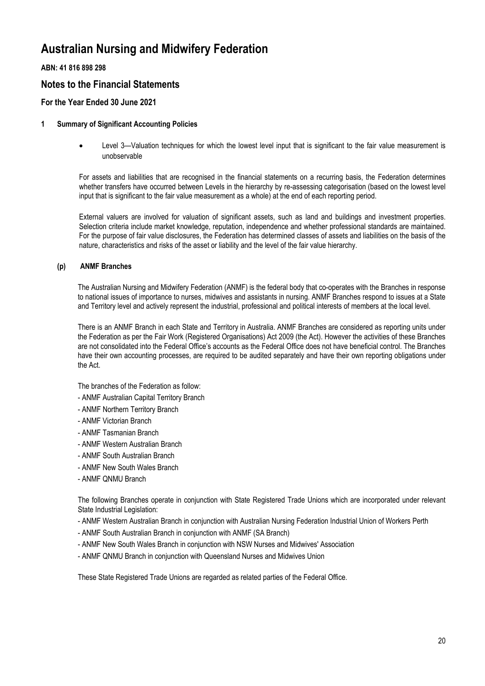## **ABN: 41 816 898 298**

# **Notes to the Financial Statements**

## **For the Year Ended 30 June 2021**

### **1 Summary of Significant Accounting Policies**

 Level 3—Valuation techniques for which the lowest level input that is significant to the fair value measurement is unobservable

For assets and liabilities that are recognised in the financial statements on a recurring basis, the Federation determines whether transfers have occurred between Levels in the hierarchy by re-assessing categorisation (based on the lowest level input that is significant to the fair value measurement as a whole) at the end of each reporting period.

External valuers are involved for valuation of significant assets, such as land and buildings and investment properties. Selection criteria include market knowledge, reputation, independence and whether professional standards are maintained. For the purpose of fair value disclosures, the Federation has determined classes of assets and liabilities on the basis of the nature, characteristics and risks of the asset or liability and the level of the fair value hierarchy.

### **(p) ANMF Branches**

The Australian Nursing and Midwifery Federation (ANMF) is the federal body that co-operates with the Branches in response to national issues of importance to nurses, midwives and assistants in nursing. ANMF Branches respond to issues at a State and Territory level and actively represent the industrial, professional and political interests of members at the local level.

There is an ANMF Branch in each State and Territory in Australia. ANMF Branches are considered as reporting units under the Federation as per the Fair Work (Registered Organisations) Act 2009 (the Act). However the activities of these Branches are not consolidated into the Federal Office's accounts as the Federal Office does not have beneficial control. The Branches have their own accounting processes, are required to be audited separately and have their own reporting obligations under the Act.

The branches of the Federation as follow:

- ANMF Australian Capital Territory Branch
- ANMF Northern Territory Branch
- ANMF Victorian Branch
- ANMF Tasmanian Branch
- ANMF Western Australian Branch
- ANMF South Australian Branch
- ANMF New South Wales Branch
- ANMF QNMU Branch

The following Branches operate in conjunction with State Registered Trade Unions which are incorporated under relevant State Industrial Legislation:

- ANMF Western Australian Branch in conjunction with Australian Nursing Federation Industrial Union of Workers Perth
- ANMF South Australian Branch in conjunction with ANMF (SA Branch)
- ANMF New South Wales Branch in conjunction with NSW Nurses and Midwives' Association
- ANMF QNMU Branch in conjunction with Queensland Nurses and Midwives Union

These State Registered Trade Unions are regarded as related parties of the Federal Office.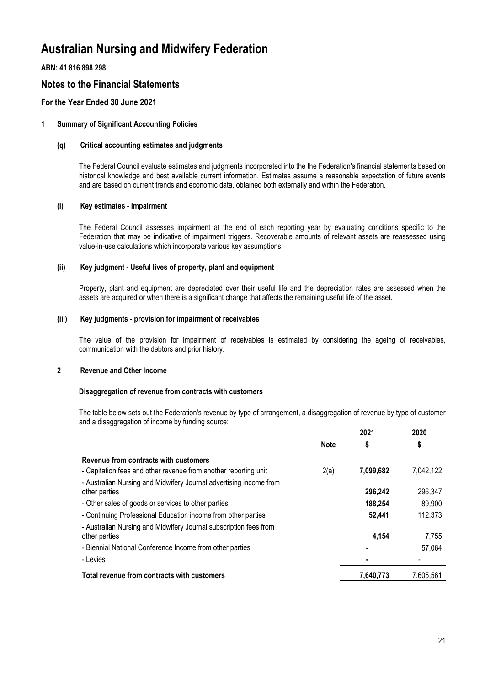**ABN: 41 816 898 298**

# **Notes to the Financial Statements**

# **For the Year Ended 30 June 2021**

## **1 Summary of Significant Accounting Policies**

#### **(q) Critical accounting estimates and judgments**

The Federal Council evaluate estimates and judgments incorporated into the the Federation's financial statements based on historical knowledge and best available current information. Estimates assume a reasonable expectation of future events and are based on current trends and economic data, obtained both externally and within the Federation.

### **(i) Key estimates - impairment**

The Federal Council assesses impairment at the end of each reporting year by evaluating conditions specific to the Federation that may be indicative of impairment triggers. Recoverable amounts of relevant assets are reassessed using value-in-use calculations which incorporate various key assumptions.

### **(ii) Key judgment - Useful lives of property, plant and equipment**

Property, plant and equipment are depreciated over their useful life and the depreciation rates are assessed when the assets are acquired or when there is a significant change that affects the remaining useful life of the asset.

### **(iii) Key judgments - provision for impairment of receivables**

The value of the provision for impairment of receivables is estimated by considering the ageing of receivables, communication with the debtors and prior history.

### **2 Revenue and Other Income**

#### **Disaggregation of revenue from contracts with customers**

The table below sets out the Federation's revenue by type of arrangement, a disaggregation of revenue by type of customer and a disaggregation of income by funding source: **2021**

|                                                                    |             | 2021      | 2020      |
|--------------------------------------------------------------------|-------------|-----------|-----------|
|                                                                    | <b>Note</b> | \$        | \$        |
| Revenue from contracts with customers                              |             |           |           |
| - Capitation fees and other revenue from another reporting unit    | 2(a)        | 7,099,682 | 7,042,122 |
| - Australian Nursing and Midwifery Journal advertising income from |             |           |           |
| other parties                                                      |             | 296,242   | 296.347   |
| - Other sales of goods or services to other parties                |             | 188,254   | 89,900    |
| - Continuing Professional Education income from other parties      |             | 52,441    | 112,373   |
| - Australian Nursing and Midwifery Journal subscription fees from  |             |           |           |
| other parties                                                      |             | 4.154     | 7,755     |
| - Biennial National Conference Income from other parties           |             |           | 57,064    |
| - Levies                                                           |             |           |           |
| Total revenue from contracts with customers                        |             | 7.640.773 | 7.605.561 |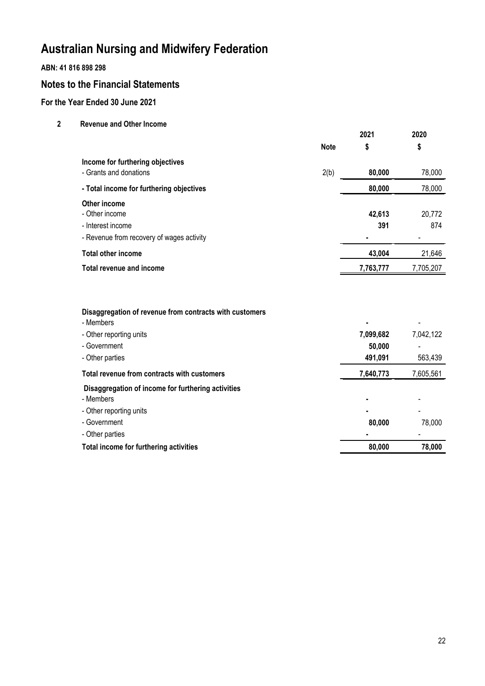## **ABN: 41 816 898 298**

# **Notes to the Financial Statements**

# **For the Year Ended 30 June 2021**

**2 Revenue and Other Income**

|                                                                                                  |             | 2021               | 2020          |
|--------------------------------------------------------------------------------------------------|-------------|--------------------|---------------|
|                                                                                                  | <b>Note</b> | \$                 | \$            |
| Income for furthering objectives<br>- Grants and donations                                       | 2(b)        | 80,000             | 78,000        |
| - Total income for furthering objectives                                                         |             | 80,000             | 78,000        |
| Other income<br>- Other income<br>- Interest income<br>- Revenue from recovery of wages activity |             | 42,613<br>391<br>٠ | 20,772<br>874 |
| <b>Total other income</b>                                                                        |             | 43,004             | 21,646        |
| Total revenue and income                                                                         |             | 7,763,777          | 7,705,207     |
|                                                                                                  |             |                    |               |

| Disaggregation of revenue from contracts with customers |  |  |  |  |
|---------------------------------------------------------|--|--|--|--|
|---------------------------------------------------------|--|--|--|--|

| - Members                                          | ٠         |           |
|----------------------------------------------------|-----------|-----------|
| - Other reporting units                            | 7,099,682 | 7,042,122 |
| - Government                                       | 50,000    |           |
| - Other parties                                    | 491,091   | 563,439   |
| Total revenue from contracts with customers        | 7,640,773 | 7,605,561 |
| Disaggregation of income for furthering activities |           |           |
| - Members                                          |           |           |
| - Other reporting units                            | ٠         |           |
| - Government                                       | 80,000    | 78,000    |
| - Other parties                                    |           |           |
| Total income for furthering activities             | 80,000    | 78,000    |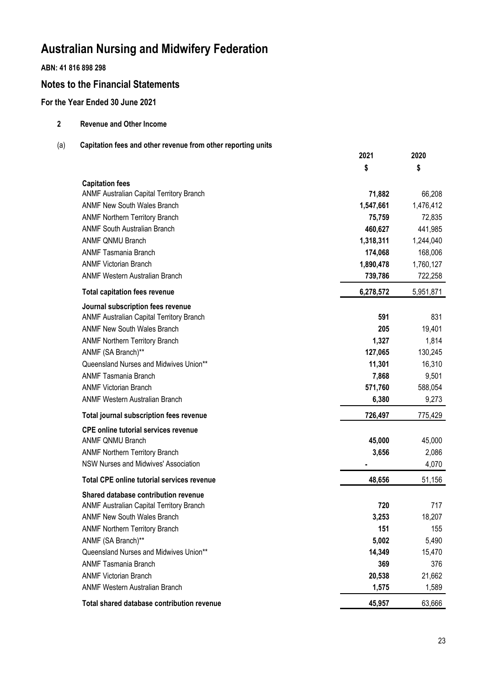## **ABN: 41 816 898 298**

# **Notes to the Financial Statements**

## **For the Year Ended 30 June 2021**

| 2   | <b>Revenue and Other Income</b>                              |           |           |
|-----|--------------------------------------------------------------|-----------|-----------|
| (a) | Capitation fees and other revenue from other reporting units |           |           |
|     |                                                              | 2021      | 2020      |
|     |                                                              | \$        | \$        |
|     | <b>Capitation fees</b>                                       |           |           |
|     | ANMF Australian Capital Territory Branch                     | 71,882    | 66,208    |
|     | <b>ANMF New South Wales Branch</b>                           | 1,547,661 | 1,476,412 |
|     | <b>ANMF Northern Territory Branch</b>                        | 75,759    | 72,835    |
|     | <b>ANMF South Australian Branch</b>                          | 460,627   | 441,985   |
|     | <b>ANMF QNMU Branch</b>                                      | 1,318,311 | 1,244,040 |
|     | <b>ANMF Tasmania Branch</b>                                  | 174,068   | 168,006   |
|     | <b>ANMF Victorian Branch</b>                                 | 1,890,478 | 1,760,127 |
|     | <b>ANMF Western Australian Branch</b>                        | 739,786   | 722,258   |
|     | <b>Total capitation fees revenue</b>                         | 6,278,572 | 5,951,871 |
|     | Journal subscription fees revenue                            |           |           |
|     | ANMF Australian Capital Territory Branch                     | 591       | 831       |
|     | <b>ANMF New South Wales Branch</b>                           | 205       | 19,401    |
|     | <b>ANMF Northern Territory Branch</b>                        | 1,327     | 1,814     |
|     | ANMF (SA Branch)**                                           | 127,065   | 130,245   |
|     | Queensland Nurses and Midwives Union**                       | 11,301    | 16,310    |
|     | <b>ANMF Tasmania Branch</b>                                  | 7,868     | 9,501     |
|     | <b>ANMF Victorian Branch</b>                                 | 571,760   | 588,054   |
|     | <b>ANMF Western Australian Branch</b>                        | 6,380     | 9,273     |
|     | Total journal subscription fees revenue                      | 726,497   | 775,429   |
|     | <b>CPE online tutorial services revenue</b>                  |           |           |
|     | <b>ANMF QNMU Branch</b>                                      | 45,000    | 45,000    |
|     | <b>ANMF Northern Territory Branch</b>                        | 3,656     | 2,086     |
|     | NSW Nurses and Midwives' Association                         |           | 4,070     |
|     | <b>Total CPE online tutorial services revenue</b>            | 48,656    | 51,156    |
|     | Shared database contribution revenue                         |           |           |
|     | ANMF Australian Capital Territory Branch                     | 720       | 717       |
|     | <b>ANMF New South Wales Branch</b>                           | 3,253     | 18,207    |
|     | <b>ANMF Northern Territory Branch</b>                        | 151       | 155       |
|     | ANMF (SA Branch)**                                           | 5,002     | 5,490     |
|     | Queensland Nurses and Midwives Union**                       | 14,349    | 15,470    |
|     | <b>ANMF Tasmania Branch</b>                                  | 369       | 376       |

ANMF Victorian Branch **20,538** 21,662 ANMF Western Australian Branch **1,575** 1,589

Total shared database contribution revenue<br>
and the contribution of the contribution revenue<br> **15,957** 63,666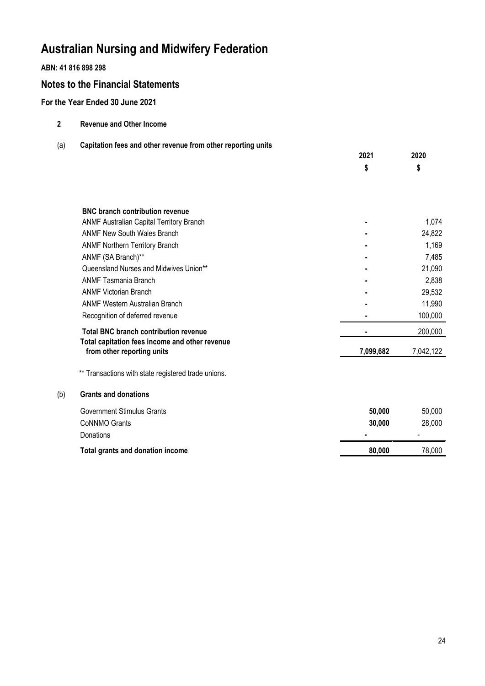## **ABN: 41 816 898 298**

# **Notes to the Financial Statements**

# **For the Year Ended 30 June 2021**

| <b>Revenue and Other Income</b><br>-2 |  |
|---------------------------------------|--|
|---------------------------------------|--|

## (a) **Capitation fees and other revenue from other reporting units**

|     |                                                                              | 2021      | 2020      |
|-----|------------------------------------------------------------------------------|-----------|-----------|
|     |                                                                              | \$        | \$        |
|     |                                                                              |           |           |
|     |                                                                              |           |           |
|     |                                                                              |           |           |
|     | <b>BNC branch contribution revenue</b>                                       |           |           |
|     | ANMF Australian Capital Territory Branch                                     |           | 1,074     |
|     | <b>ANMF New South Wales Branch</b>                                           |           | 24,822    |
|     | <b>ANMF Northern Territory Branch</b>                                        |           | 1,169     |
|     | ANMF (SA Branch)**                                                           |           | 7,485     |
|     | Queensland Nurses and Midwives Union**                                       |           | 21,090    |
|     | <b>ANMF Tasmania Branch</b>                                                  |           | 2,838     |
|     | <b>ANMF Victorian Branch</b>                                                 |           | 29,532    |
|     | <b>ANMF Western Australian Branch</b>                                        |           | 11,990    |
|     | Recognition of deferred revenue                                              |           | 100,000   |
|     |                                                                              |           |           |
|     | <b>Total BNC branch contribution revenue</b>                                 |           | 200,000   |
|     | Total capitation fees income and other revenue<br>from other reporting units | 7,099,682 | 7,042,122 |
|     |                                                                              |           |           |
|     | ** Transactions with state registered trade unions.                          |           |           |
| (b) | <b>Grants and donations</b>                                                  |           |           |
|     |                                                                              |           |           |
|     | <b>Government Stimulus Grants</b>                                            | 50,000    | 50,000    |
|     | <b>CoNNMO Grants</b>                                                         | 30,000    | 28,000    |
|     | Donations                                                                    |           |           |
|     | Total grants and donation income                                             | 80,000    | 78,000    |
|     |                                                                              |           |           |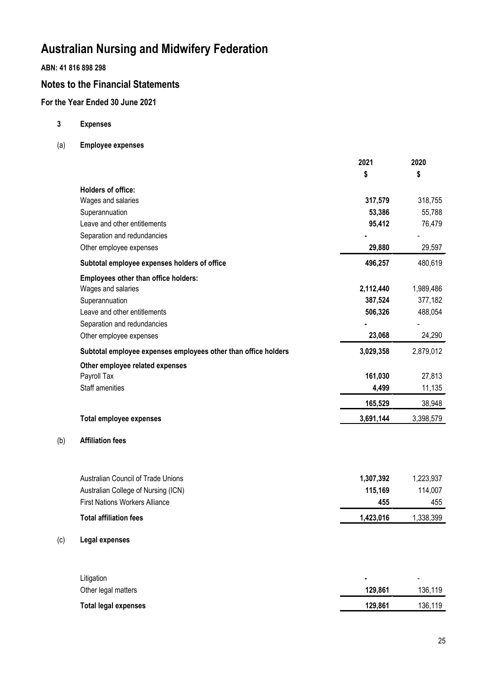## **ABN: 41 816 898 298**

# **Notes to the Financial Statements**

# **For the Year Ended 30 June 2021**

**3 Expenses**

(b) **Affiliation fees**

(c) **Legal expenses**

(a) **Employee expenses**

|                                                                | 2021      | 2020      |
|----------------------------------------------------------------|-----------|-----------|
|                                                                | \$        | \$        |
| Holders of office:                                             |           |           |
| Wages and salaries                                             | 317,579   | 318,755   |
| Superannuation                                                 | 53,386    | 55,788    |
| Leave and other entitlements                                   | 95,412    | 76,479    |
| Separation and redundancies                                    |           |           |
| Other employee expenses                                        | 29,880    | 29,597    |
| Subtotal employee expenses holders of office                   | 496,257   | 480,619   |
| <b>Employees other than office holders:</b>                    |           |           |
| Wages and salaries                                             | 2,112,440 | 1,989,486 |
| Superannuation                                                 | 387,524   | 377,182   |
| Leave and other entitlements                                   | 506,326   | 488,054   |
| Separation and redundancies                                    |           |           |
| Other employee expenses                                        | 23,068    | 24,290    |
| Subtotal employee expenses employees other than office holders | 3,029,358 | 2,879,012 |
| Other employee related expenses                                |           |           |
| Payroll Tax                                                    | 161,030   | 27,813    |
| <b>Staff amenities</b>                                         | 4,499     | 11,135    |
|                                                                | 165,529   | 38,948    |
| <b>Total employee expenses</b>                                 | 3,691,144 | 3,398,579 |
| <b>Affiliation fees</b>                                        |           |           |
| <b>Australian Council of Trade Unions</b>                      | 1,307,392 | 1,223,937 |
| Australian College of Nursing (ICN)                            | 115,169   | 114,007   |
| <b>First Nations Workers Alliance</b>                          | 455       | 455       |
| <b>Total affiliation fees</b>                                  | 1,423,016 | 1,338,399 |
|                                                                |           |           |
| Legal expenses                                                 |           |           |
| Litigation                                                     |           |           |
| Other legal matters                                            | 129,861   | 136,119   |
| <b>Total legal expenses</b>                                    | 129,861   | 136,119   |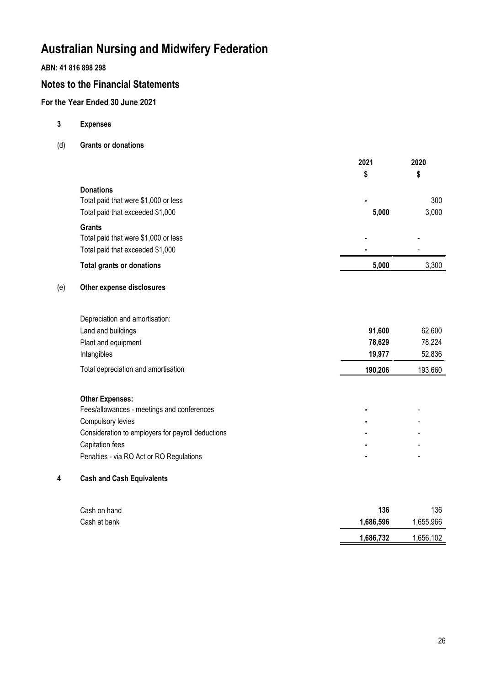## **ABN: 41 816 898 298**

# **Notes to the Financial Statements**

# **For the Year Ended 30 June 2021**

- **3 Expenses**
- (d) **Grants or donations**

|                                      | 2021  | 2020<br>\$ |
|--------------------------------------|-------|------------|
|                                      | \$    |            |
| <b>Donations</b>                     |       |            |
| Total paid that were \$1,000 or less |       | 300        |
| Total paid that exceeded \$1,000     | 5,000 | 3,000      |
| <b>Grants</b>                        |       |            |
| Total paid that were \$1,000 or less |       | ٠          |
| Total paid that exceeded \$1,000     | ۰     |            |
| <b>Total grants or donations</b>     | 5,000 | 3,300      |

## (e) **Other expense disclosures**

| Depreciation and amortisation:      |         |         |
|-------------------------------------|---------|---------|
| Land and buildings                  | 91.600  | 62,600  |
| Plant and equipment                 | 78,629  | 78,224  |
| Intangibles                         | 19.977  | 52,836  |
| Total depreciation and amortisation | 190.206 | 193,660 |
|                                     |         |         |

## **Other Expenses:**

| Fees/allowances - meetings and conferences        |  |
|---------------------------------------------------|--|
| Compulsory levies                                 |  |
| Consideration to employers for payroll deductions |  |
| Capitation fees                                   |  |
| Penalties - via RO Act or RO Regulations          |  |
|                                                   |  |

# **4 Cash and Cash Equivalents**

| Cash on hand | 136       | 136       |
|--------------|-----------|-----------|
| Cash at bank | 1.686.596 | 1,655,966 |
|              | 1,686,732 | 1,656,102 |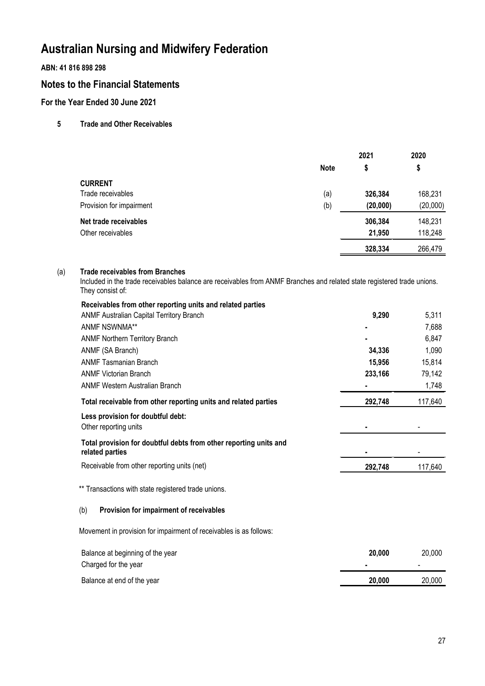**ABN: 41 816 898 298**

# **Notes to the Financial Statements**

**For the Year Ended 30 June 2021**

## **5 Trade and Other Receivables**

|                          |             | 2021     | 2020     |
|--------------------------|-------------|----------|----------|
|                          | <b>Note</b> | \$       | \$       |
| <b>CURRENT</b>           |             |          |          |
| Trade receivables        | (a)         | 326,384  | 168,231  |
| Provision for impairment | (b)         | (20,000) | (20,000) |
| Net trade receivables    |             | 306,384  | 148,231  |
| Other receivables        |             | 21,950   | 118,248  |
|                          |             | 328,334  | 266,479  |

#### (a) **Trade receivables from Branches**

Included in the trade receivables balance are receivables from ANMF Branches and related state registered trade unions. They consist of:

| Receivables from other reporting units and related parties                           |         |         |
|--------------------------------------------------------------------------------------|---------|---------|
| <b>ANMF Australian Capital Territory Branch</b>                                      | 9,290   | 5,311   |
| <b>ANMF NSWNMA**</b>                                                                 |         | 7,688   |
| <b>ANMF Northern Territory Branch</b>                                                |         | 6,847   |
| ANMF (SA Branch)                                                                     | 34,336  | 1,090   |
| <b>ANMF Tasmanian Branch</b>                                                         | 15,956  | 15,814  |
| <b>ANMF Victorian Branch</b>                                                         | 233,166 | 79,142  |
| <b>ANMF Western Australian Branch</b>                                                |         | 1,748   |
| Total receivable from other reporting units and related parties                      | 292,748 | 117,640 |
| Less provision for doubtful debt:<br>Other reporting units                           |         |         |
| Total provision for doubtful debts from other reporting units and<br>related parties |         |         |
| Receivable from other reporting units (net)                                          | 292,748 | 117,640 |
| ** Transactions with state registered trade unions.                                  |         |         |
| Provision for impairment of receivables<br>(b)                                       |         |         |
| Movement in provision for impairment of receivables is as follows:                   |         |         |
| Balance at beginning of the year                                                     | 20,000  | 20,000  |
| Charged for the year                                                                 |         |         |
| Balance at end of the year                                                           | 20,000  | 20,000  |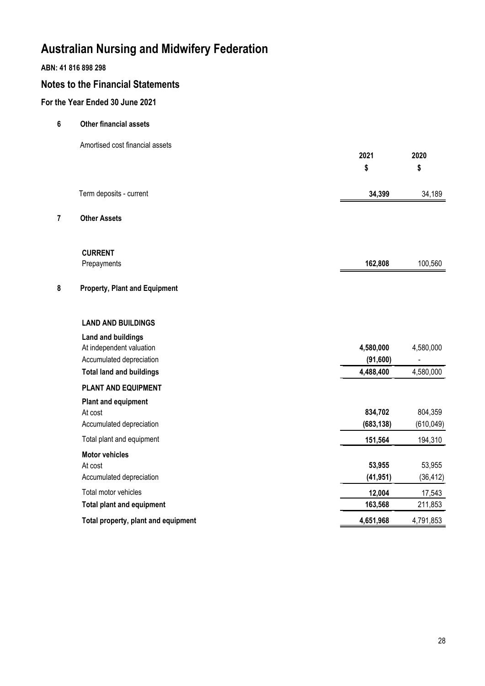# **ABN: 41 816 898 298**

# **Notes to the Financial Statements**

# **For the Year Ended 30 June 2021**

- **6 Other financial assets**
	- Amortised cost financial assets

|   |                                                                                   | 2021<br>\$             | 2020<br>\$            |
|---|-----------------------------------------------------------------------------------|------------------------|-----------------------|
|   | Term deposits - current                                                           | 34,399                 | 34,189                |
| 7 | <b>Other Assets</b>                                                               |                        |                       |
|   | <b>CURRENT</b><br>Prepayments                                                     | 162,808                | 100,560               |
| 8 | <b>Property, Plant and Equipment</b>                                              |                        |                       |
|   | <b>LAND AND BUILDINGS</b>                                                         |                        |                       |
|   | <b>Land and buildings</b><br>At independent valuation<br>Accumulated depreciation | 4,580,000<br>(91, 600) | 4,580,000             |
|   | <b>Total land and buildings</b>                                                   | 4,488,400              | 4,580,000             |
|   | <b>PLANT AND EQUIPMENT</b>                                                        |                        |                       |
|   | <b>Plant and equipment</b><br>At cost<br>Accumulated depreciation                 | 834,702<br>(683, 138)  | 804,359<br>(610, 049) |
|   | Total plant and equipment                                                         | 151,564                | 194,310               |
|   | <b>Motor vehicles</b><br>At cost<br>Accumulated depreciation                      | 53,955<br>(41, 951)    | 53,955<br>(36, 412)   |
|   | Total motor vehicles                                                              | 12,004                 | 17,543                |
|   | <b>Total plant and equipment</b>                                                  | 163,568                | 211,853               |
|   | Total property, plant and equipment                                               | 4,651,968              | 4,791,853             |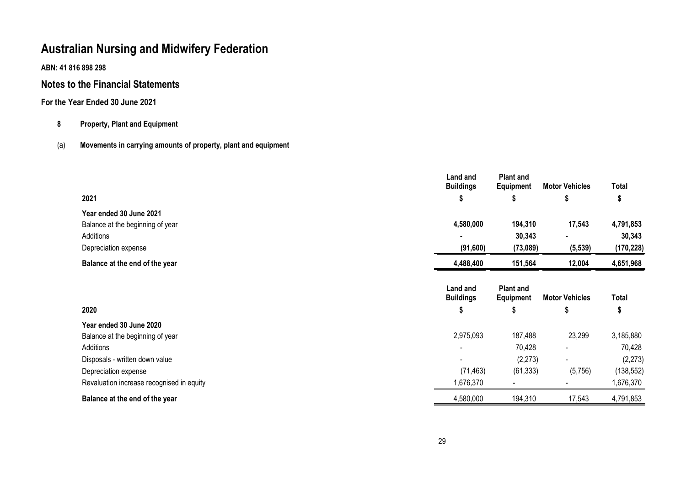**ABN: 41 816 898 298**

# **Notes to the Financial Statements**

# **For the Year Ended 30 June 2021**

# **8 Property, Plant and Equipment**

# (a) **Movements in carrying amounts of property, plant and equipment**

|                                           | Land and<br><b>Buildings</b> | <b>Plant and</b><br><b>Equipment</b> | <b>Motor Vehicles</b> | Total      |
|-------------------------------------------|------------------------------|--------------------------------------|-----------------------|------------|
| 2021                                      | J                            | J                                    |                       | P          |
| Year ended 30 June 2021                   |                              |                                      |                       |            |
| Balance at the beginning of year          | 4,580,000                    | 194,310                              | 17,543                | 4,791,853  |
| Additions                                 |                              | 30,343                               | ٠                     | 30,343     |
| Depreciation expense                      | (91,600)                     | (73,089)                             | (5, 539)              | (170, 228) |
| Balance at the end of the year            | 4,488,400                    | 151,564                              | 12,004                | 4,651,968  |
|                                           | Land and<br><b>Buildings</b> | <b>Plant and</b><br>Equipment        | <b>Motor Vehicles</b> | Total      |
| 2020                                      | ъ                            | Y                                    | ъ                     | 5          |
| Year ended 30 June 2020                   |                              |                                      |                       |            |
| Balance at the beginning of year          | 2,975,093                    | 187,488                              | 23,299                | 3,185,880  |
| Additions                                 |                              | 70,428                               |                       | 70,428     |
| Disposals - written down value            | $\blacksquare$               | (2, 273)                             | $\blacksquare$        | (2, 273)   |
| Depreciation expense                      | (71, 463)                    | (61, 333)                            | (5,756)               | (138, 552) |
| Revaluation increase recognised in equity | 1,676,370                    |                                      |                       | 1,676,370  |
| Balance at the end of the year            | 4,580,000                    | 194,310                              | 17,543                | 4,791,853  |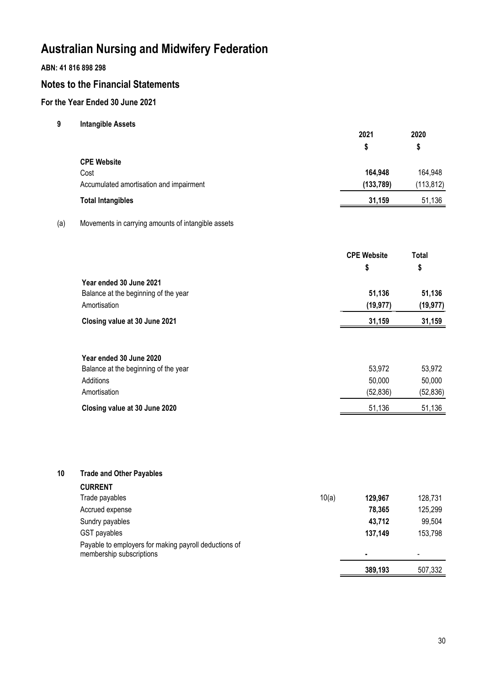## **ABN: 41 816 898 298**

# **Notes to the Financial Statements**

# **For the Year Ended 30 June 2021**

**9 Intangible Assets**

|                                         | 2021      | 2020       |  |
|-----------------------------------------|-----------|------------|--|
|                                         | S         | S          |  |
| <b>CPE Website</b>                      |           |            |  |
| Cost                                    | 164,948   | 164,948    |  |
| Accumulated amortisation and impairment | (133,789) | (113, 812) |  |
| <b>Total Intangibles</b>                | 31,159    | 51,136     |  |

### (a) Movements in carrying amounts of intangible assets

| <b>CPE Website</b><br>S |           |
|-------------------------|-----------|
|                         |           |
| 51.136                  | 51.136    |
| (19, 977)               | (19, 977) |
| 31.159                  | 31,159    |
|                         |           |

| Year ended 30 June 2020              |          |          |
|--------------------------------------|----------|----------|
| Balance at the beginning of the year | 53.972   | 53.972   |
| Additions                            | 50.000   | 50,000   |
| Amortisation                         | (52.836) | (52,836) |
| Closing value at 30 June 2020        | 51.136   | 51,136   |

## **10 Trade and Other Payables**

| <b>CURRENT</b>                                        |         |                          |
|-------------------------------------------------------|---------|--------------------------|
| 10(a)<br>Trade payables                               | 129.967 | 128,731                  |
| Accrued expense                                       | 78,365  | 125,299                  |
| Sundry payables                                       | 43,712  | 99,504                   |
| GST payables                                          | 137,149 | 153,798                  |
| Payable to employers for making payroll deductions of |         |                          |
| membership subscriptions                              | ۰       | $\overline{\phantom{0}}$ |
|                                                       | 389,193 | 507,332                  |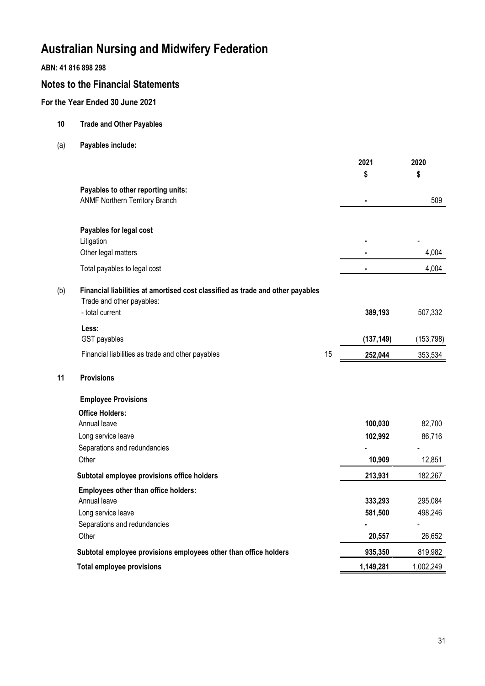## **ABN: 41 816 898 298**

# **Notes to the Financial Statements**

# **For the Year Ended 30 June 2021**

- **10 Trade and Other Payables**
- (a) **Payables include:**

|     |                                                                                                             |    | 2021           | 2020       |
|-----|-------------------------------------------------------------------------------------------------------------|----|----------------|------------|
|     |                                                                                                             |    | \$             | \$         |
|     | Payables to other reporting units:                                                                          |    |                |            |
|     | <b>ANMF Northern Territory Branch</b>                                                                       |    | $\blacksquare$ | 509        |
|     | Payables for legal cost                                                                                     |    |                |            |
|     | Litigation                                                                                                  |    |                |            |
|     | Other legal matters                                                                                         |    |                | 4,004      |
|     | Total payables to legal cost                                                                                |    |                | 4,004      |
| (b) | Financial liabilities at amortised cost classified as trade and other payables<br>Trade and other payables: |    |                |            |
|     | - total current                                                                                             |    | 389,193        | 507,332    |
|     | Less:                                                                                                       |    |                |            |
|     | GST payables                                                                                                |    | (137, 149)     | (153, 798) |
|     | Financial liabilities as trade and other payables                                                           | 15 | 252,044        | 353,534    |
| 11  | <b>Provisions</b>                                                                                           |    |                |            |
|     | <b>Employee Provisions</b>                                                                                  |    |                |            |
|     | <b>Office Holders:</b>                                                                                      |    |                |            |
|     | Annual leave                                                                                                |    | 100,030        | 82,700     |
|     | Long service leave                                                                                          |    | 102,992        | 86,716     |
|     | Separations and redundancies                                                                                |    |                |            |
|     | Other                                                                                                       |    | 10,909         | 12,851     |
|     | Subtotal employee provisions office holders                                                                 |    | 213,931        | 182,267    |
|     | Employees other than office holders:                                                                        |    |                |            |
|     | Annual leave                                                                                                |    | 333,293        | 295,084    |
|     | Long service leave                                                                                          |    | 581,500        | 498,246    |
|     | Separations and redundancies                                                                                |    |                |            |
|     | Other                                                                                                       |    | 20,557         | 26,652     |
|     | Subtotal employee provisions employees other than office holders                                            |    | 935,350        | 819,982    |
|     | <b>Total employee provisions</b>                                                                            |    | 1,149,281      | 1,002,249  |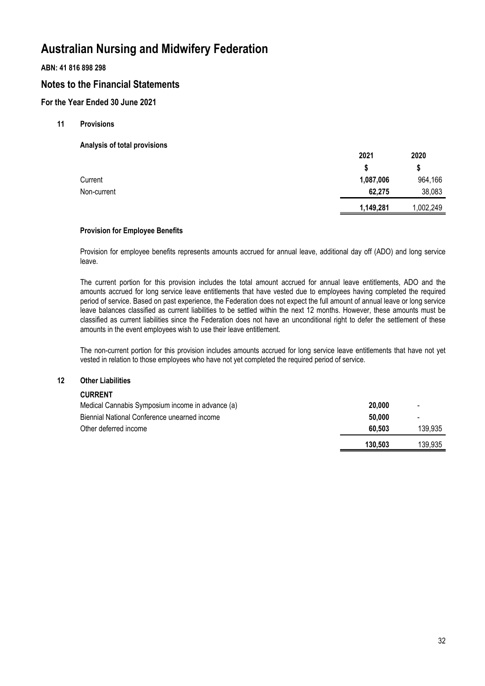## **ABN: 41 816 898 298**

# **Notes to the Financial Statements**

## **For the Year Ended 30 June 2021**

### **11 Provisions**

**Analysis of total provisions**

|             | 2021      | 2020      |
|-------------|-----------|-----------|
|             |           | \$        |
| Current     | 1,087,006 | 964,166   |
| Non-current | 62,275    | 38,083    |
|             | 1,149,281 | 1,002,249 |

#### **Provision for Employee Benefits**

Provision for employee benefits represents amounts accrued for annual leave, additional day off (ADO) and long service leave.

The current portion for this provision includes the total amount accrued for annual leave entitlements, ADO and the amounts accrued for long service leave entitlements that have vested due to employees having completed the required period of service. Based on past experience, the Federation does not expect the full amount of annual leave or long service leave balances classified as current liabilities to be settled within the next 12 months. However, these amounts must be classified as current liabilities since the Federation does not have an unconditional right to defer the settlement of these amounts in the event employees wish to use their leave entitlement.

The non-current portion for this provision includes amounts accrued for long service leave entitlements that have not yet vested in relation to those employees who have not yet completed the required period of service.

### **12 Other Liabilities**

### **CURRENT**

| Medical Cannabis Symposium income in advance (a) | 20,000  | $\overline{\phantom{a}}$ |
|--------------------------------------------------|---------|--------------------------|
| Biennial National Conference unearned income     | 50.000  | $\overline{\phantom{a}}$ |
| Other deferred income                            | 60.503  | 139.935                  |
|                                                  | 130.503 | 139.935                  |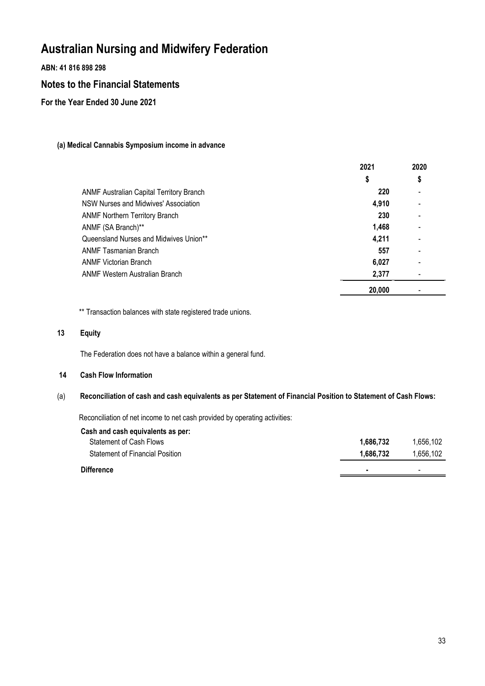**ABN: 41 816 898 298**

# **Notes to the Financial Statements**

**For the Year Ended 30 June 2021**

## **(a) Medical Cannabis Symposium income in advance**

|                                                 | 2021   | 2020                     |
|-------------------------------------------------|--------|--------------------------|
|                                                 | \$     | \$                       |
| <b>ANMF Australian Capital Territory Branch</b> | 220    |                          |
| NSW Nurses and Midwives' Association            | 4.910  | $\overline{\phantom{0}}$ |
| <b>ANMF Northern Territory Branch</b>           | 230    | $\blacksquare$           |
| ANMF (SA Branch)**                              | 1,468  | $\overline{\phantom{0}}$ |
| Queensland Nurses and Midwives Union**          | 4,211  |                          |
| <b>ANMF Tasmanian Branch</b>                    | 557    | $\blacksquare$           |
| <b>ANMF Victorian Branch</b>                    | 6,027  | $\overline{\phantom{0}}$ |
| ANMF Western Australian Branch                  | 2,377  |                          |
|                                                 | 20,000 |                          |

\*\* Transaction balances with state registered trade unions.

## **13 Equity**

The Federation does not have a balance within a general fund.

### **14 Cash Flow Information**

## (a) **Reconciliation of cash and cash equivalents as per Statement of Financial Position to Statement of Cash Flows:**

Reconciliation of net income to net cash provided by operating activities:

| Cash and cash equivalents as per: |           |           |
|-----------------------------------|-----------|-----------|
| Statement of Cash Flows           | 1.686.732 | 1.656.102 |
| Statement of Financial Position   | 1.686.732 | 1.656.102 |
| <b>Difference</b>                 |           |           |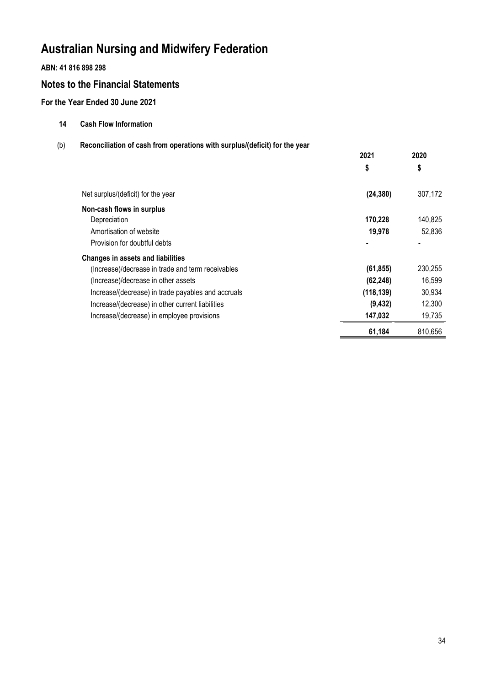**ABN: 41 816 898 298**

# **Notes to the Financial Statements**

**For the Year Ended 30 June 2021**

- **14 Cash Flow Information**
- (b) **Reconciliation of cash from operations with surplus/(deficit) for the year**

|                                                    | 2021       | 2020    |
|----------------------------------------------------|------------|---------|
|                                                    | \$         | \$      |
| Net surplus/(deficit) for the year                 | (24, 380)  | 307,172 |
| Non-cash flows in surplus                          |            |         |
| Depreciation                                       | 170,228    | 140,825 |
| Amortisation of website                            | 19,978     | 52,836  |
| Provision for doubtful debts                       |            |         |
| <b>Changes in assets and liabilities</b>           |            |         |
| (Increase)/decrease in trade and term receivables  | (61, 855)  | 230,255 |
| (Increase)/decrease in other assets                | (62, 248)  | 16,599  |
| Increase/(decrease) in trade payables and accruals | (118, 139) | 30,934  |
| Increase/(decrease) in other current liabilities   | (9, 432)   | 12,300  |
| Increase/(decrease) in employee provisions         | 147,032    | 19,735  |
|                                                    | 61,184     | 810,656 |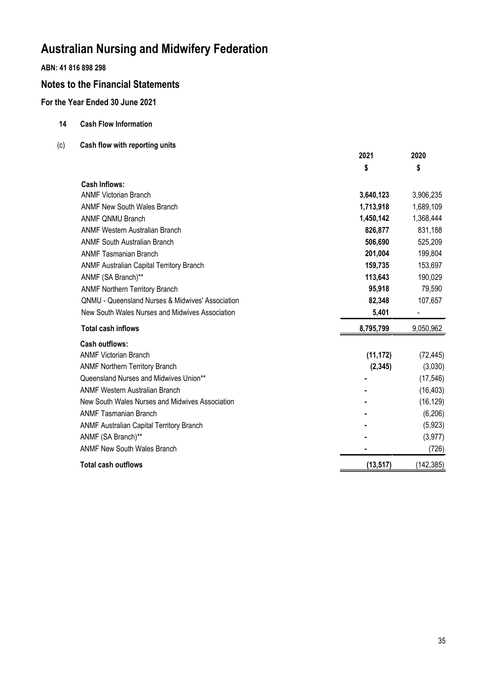# **ABN: 41 816 898 298**

# **Notes to the Financial Statements**

# **For the Year Ended 30 June 2021**

- **14 Cash Flow Information**
- (c) **Cash flow with reporting units**

|                                                             | 2021      | 2020       |
|-------------------------------------------------------------|-----------|------------|
|                                                             | \$        | \$         |
| <b>Cash Inflows:</b>                                        |           |            |
| <b>ANMF Victorian Branch</b>                                | 3,640,123 | 3,906,235  |
| <b>ANMF New South Wales Branch</b>                          | 1,713,918 | 1,689,109  |
| <b>ANMF QNMU Branch</b>                                     | 1,450,142 | 1,368,444  |
| <b>ANMF Western Australian Branch</b>                       | 826,877   | 831,188    |
| <b>ANMF South Australian Branch</b>                         | 506,690   | 525,209    |
| <b>ANMF Tasmanian Branch</b>                                | 201,004   | 199,804    |
| <b>ANMF Australian Capital Territory Branch</b>             | 159,735   | 153,697    |
| ANMF (SA Branch)**                                          | 113,643   | 190,029    |
| <b>ANMF Northern Territory Branch</b>                       | 95,918    | 79,590     |
| <b>QNMU - Queensland Nurses &amp; Midwives' Association</b> | 82,348    | 107,657    |
| New South Wales Nurses and Midwives Association             | 5,401     |            |
| <b>Total cash inflows</b>                                   | 8,795,799 | 9,050,962  |
| <b>Cash outflows:</b>                                       |           |            |
| <b>ANMF Victorian Branch</b>                                | (11, 172) | (72, 445)  |
| <b>ANMF Northern Territory Branch</b>                       | (2, 345)  | (3,030)    |
| Queensland Nurses and Midwives Union**                      |           | (17, 546)  |
| <b>ANMF Western Australian Branch</b>                       |           | (16, 403)  |
| New South Wales Nurses and Midwives Association             |           | (16, 129)  |
| <b>ANMF Tasmanian Branch</b>                                |           | (6, 206)   |
| <b>ANMF Australian Capital Territory Branch</b>             |           | (5,923)    |
| ANMF (SA Branch)**                                          |           | (3, 977)   |
| <b>ANMF New South Wales Branch</b>                          |           | (726)      |
| <b>Total cash outflows</b>                                  | (13, 517) | (142, 385) |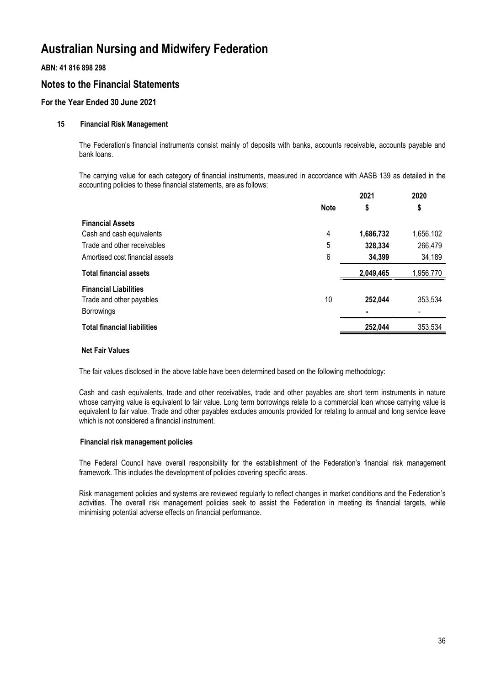## **ABN: 41 816 898 298**

# **Notes to the Financial Statements**

## **For the Year Ended 30 June 2021**

### **15 Financial Risk Management**

The Federation's financial instruments consist mainly of deposits with banks, accounts receivable, accounts payable and bank loans.

The carrying value for each category of financial instruments, measured in accordance with AASB 139 as detailed in the accounting policies to these financial statements, are as follows: **2021**

|                                    |             | 2021      | 2020      |
|------------------------------------|-------------|-----------|-----------|
|                                    | <b>Note</b> | \$        | \$        |
| <b>Financial Assets</b>            |             |           |           |
| Cash and cash equivalents          | 4           | 1,686,732 | 1,656,102 |
| Trade and other receivables        | 5           | 328,334   | 266,479   |
| Amortised cost financial assets    | 6           | 34,399    | 34,189    |
| <b>Total financial assets</b>      |             | 2,049,465 | 1,956,770 |
| <b>Financial Liabilities</b>       |             |           |           |
| Trade and other payables           | 10          | 252,044   | 353,534   |
| Borrowings                         |             |           |           |
| <b>Total financial liabilities</b> |             | 252,044   | 353,534   |
|                                    |             |           |           |

#### **Net Fair Values**

The fair values disclosed in the above table have been determined based on the following methodology:

Cash and cash equivalents, trade and other receivables, trade and other payables are short term instruments in nature whose carrying value is equivalent to fair value. Long term borrowings relate to a commercial loan whose carrying value is equivalent to fair value. Trade and other payables excludes amounts provided for relating to annual and long service leave which is not considered a financial instrument.

#### **Financial risk management policies**

The Federal Council have overall responsibility for the establishment of the Federation's financial risk management framework. This includes the development of policies covering specific areas.

Risk management policies and systems are reviewed regularly to reflect changes in market conditions and the Federation's activities. The overall risk management policies seek to assist the Federation in meeting its financial targets, while minimising potential adverse effects on financial performance.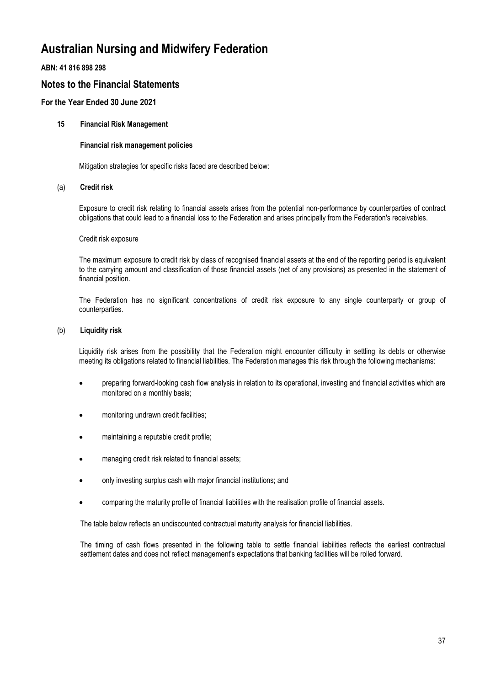## **ABN: 41 816 898 298**

# **Notes to the Financial Statements**

## **For the Year Ended 30 June 2021**

### **15 Financial Risk Management**

#### **Financial risk management policies**

Mitigation strategies for specific risks faced are described below:

### (a) **Credit risk**

Exposure to credit risk relating to financial assets arises from the potential non-performance by counterparties of contract obligations that could lead to a financial loss to the Federation and arises principally from the Federation's receivables.

#### Credit risk exposure

The maximum exposure to credit risk by class of recognised financial assets at the end of the reporting period is equivalent to the carrying amount and classification of those financial assets (net of any provisions) as presented in the statement of financial position.

The Federation has no significant concentrations of credit risk exposure to any single counterparty or group of counterparties.

#### (b) **Liquidity risk**

Liquidity risk arises from the possibility that the Federation might encounter difficulty in settling its debts or otherwise meeting its obligations related to financial liabilities. The Federation manages this risk through the following mechanisms:

- preparing forward-looking cash flow analysis in relation to its operational, investing and financial activities which are monitored on a monthly basis;
- monitoring undrawn credit facilities;
- maintaining a reputable credit profile;
- managing credit risk related to financial assets;
- only investing surplus cash with major financial institutions; and
- comparing the maturity profile of financial liabilities with the realisation profile of financial assets.

The table below reflects an undiscounted contractual maturity analysis for financial liabilities.

The timing of cash flows presented in the following table to settle financial liabilities reflects the earliest contractual settlement dates and does not reflect management's expectations that banking facilities will be rolled forward.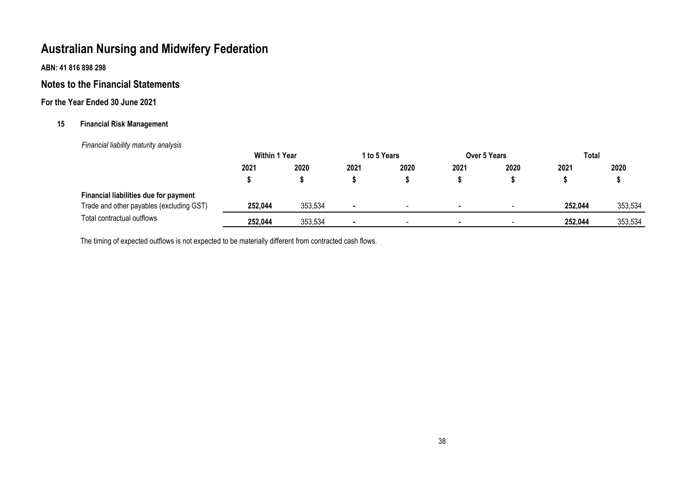**ABN: 41 816 898 298**

# **Notes to the Financial Statements**

# **For the Year Ended 30 June 2021**

## **15 Financial Risk Management**

 *Financial liability maturity analysis*

|                                          | <b>Within 1 Year</b> |         |                | 1 to 5 Years             |                | <b>Over 5 Years</b> | Total   |         |
|------------------------------------------|----------------------|---------|----------------|--------------------------|----------------|---------------------|---------|---------|
|                                          | 2021                 | 2020    | 2021           | 2020                     | 2021           | 2020                | 2021    | 2020    |
|                                          |                      |         |                |                          |                |                     |         |         |
| Financial liabilities due for payment    |                      |         |                |                          |                |                     |         |         |
| Trade and other payables (excluding GST) | 252,044              | 353,534 | $\blacksquare$ | -                        | $\blacksquare$ |                     | 252,044 | 353,534 |
| Total contractual outflows               | 252,044              | 353,534 |                | $\overline{\phantom{0}}$ |                | $\sim$              | 252,044 | 353,534 |

The timing of expected outflows is not expected to be materially different from contracted cash flows.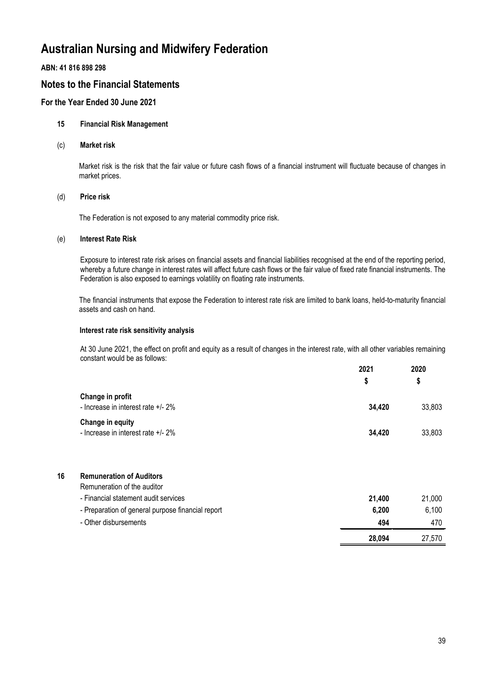### **ABN: 41 816 898 298**

# **Notes to the Financial Statements**

## **For the Year Ended 30 June 2021**

### **15 Financial Risk Management**

(c) **Market risk**

Market risk is the risk that the fair value or future cash flows of a financial instrument will fluctuate because of changes in market prices.

### (d) **Price risk**

The Federation is not exposed to any material commodity price risk.

### (e) **Interest Rate Risk**

Exposure to interest rate risk arises on financial assets and financial liabilities recognised at the end of the reporting period, whereby a future change in interest rates will affect future cash flows or the fair value of fixed rate financial instruments. The Federation is also exposed to earnings volatility on floating rate instruments.

The financial instruments that expose the Federation to interest rate risk are limited to bank loans, held-to-maturity financial assets and cash on hand.

#### **Interest rate risk sensitivity analysis**

At 30 June 2021, the effect on profit and equity as a result of changes in the interest rate, with all other variables remaining constant would be as follows: **2021**

|                                                        | 2021<br>S | 2020         |  |
|--------------------------------------------------------|-----------|--------------|--|
| Change in profit<br>- Increase in interest rate +/- 2% | 34.420    | \$<br>33,803 |  |
| Change in equity<br>- Increase in interest rate +/- 2% | 34,420    | 33,803       |  |

| 16 | <b>Remuneration of Auditors</b>                   |        |        |
|----|---------------------------------------------------|--------|--------|
|    | Remuneration of the auditor                       |        |        |
|    | - Financial statement audit services              | 21.400 | 21,000 |
|    | - Preparation of general purpose financial report | 6,200  | 6,100  |
|    | - Other disbursements                             | 494    | 470    |
|    |                                                   | 28,094 | 27.570 |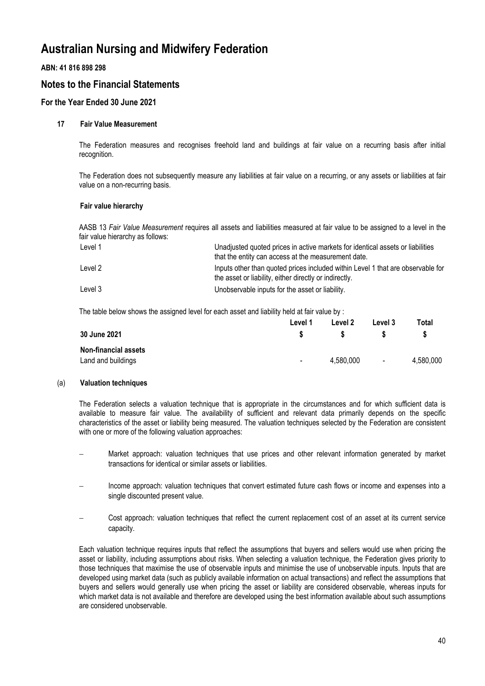## **ABN: 41 816 898 298**

# **Notes to the Financial Statements**

## **For the Year Ended 30 June 2021**

### **17 Fair Value Measurement**

The Federation measures and recognises freehold land and buildings at fair value on a recurring basis after initial recognition.

The Federation does not subsequently measure any liabilities at fair value on a recurring, or any assets or liabilities at fair value on a non-recurring basis.

### **Fair value hierarchy**

AASB 13 *Fair Value Measurement* requires all assets and liabilities measured at fair value to be assigned to a level in the fair value hierarchy as follows:

| Level 1 | Unadjusted quoted prices in active markets for identical assets or liabilities<br>that the entity can access at the measurement date.     |
|---------|-------------------------------------------------------------------------------------------------------------------------------------------|
| Level 2 | Inputs other than quoted prices included within Level 1 that are observable for<br>the asset or liability, either directly or indirectly. |
| Level 3 | Unobservable inputs for the asset or liability.                                                                                           |

The table below shows the assigned level for each asset and liability held at fair value by :

|                             | Level 1 | Level 2   | Level 3 | Total     |
|-----------------------------|---------|-----------|---------|-----------|
| 30 June 2021                |         |           |         |           |
| <b>Non-financial assets</b> |         |           |         |           |
| Land and buildings          | $\sim$  | 4.580.000 | $\sim$  | 4,580,000 |

#### (a) **Valuation techniques**

The Federation selects a valuation technique that is appropriate in the circumstances and for which sufficient data is available to measure fair value. The availability of sufficient and relevant data primarily depends on the specific characteristics of the asset or liability being measured. The valuation techniques selected by the Federation are consistent with one or more of the following valuation approaches:

- Market approach: valuation techniques that use prices and other relevant information generated by market transactions for identical or similar assets or liabilities.
- Income approach: valuation techniques that convert estimated future cash flows or income and expenses into a single discounted present value.
- Cost approach: valuation techniques that reflect the current replacement cost of an asset at its current service capacity.

Each valuation technique requires inputs that reflect the assumptions that buyers and sellers would use when pricing the asset or liability, including assumptions about risks. When selecting a valuation technique, the Federation gives priority to those techniques that maximise the use of observable inputs and minimise the use of unobservable inputs. Inputs that are developed using market data (such as publicly available information on actual transactions) and reflect the assumptions that buyers and sellers would generally use when pricing the asset or liability are considered observable, whereas inputs for which market data is not available and therefore are developed using the best information available about such assumptions are considered unobservable.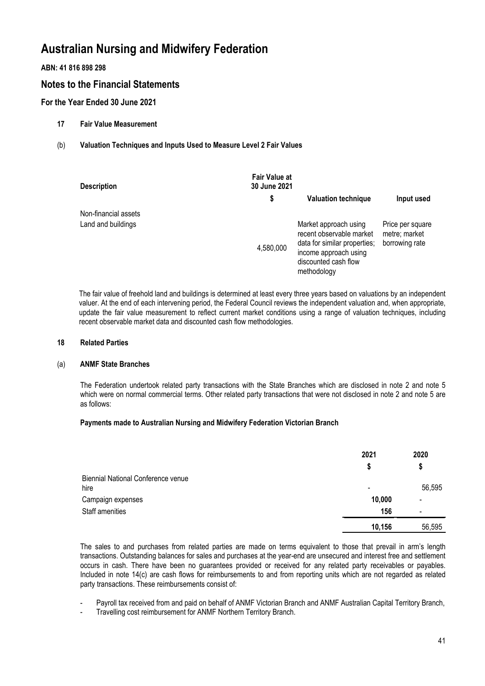## **ABN: 41 816 898 298**

# **Notes to the Financial Statements**

## **For the Year Ended 30 June 2021**

- **17 Fair Value Measurement**
- (b) **Valuation Techniques and Inputs Used to Measure Level 2 Fair Values**

| <b>Description</b>   | <b>Fair Value at</b><br>30 June 2021 |                                                                                                                                                   |                                                     |
|----------------------|--------------------------------------|---------------------------------------------------------------------------------------------------------------------------------------------------|-----------------------------------------------------|
|                      | \$                                   | <b>Valuation technique</b>                                                                                                                        | Input used                                          |
| Non-financial assets |                                      |                                                                                                                                                   |                                                     |
| Land and buildings   | 4,580,000                            | Market approach using<br>recent observable market<br>data for similar properties;<br>income approach using<br>discounted cash flow<br>methodology | Price per square<br>metre; market<br>borrowing rate |

The fair value of freehold land and buildings is determined at least every three years based on valuations by an independent valuer. At the end of each intervening period, the Federal Council reviews the independent valuation and, when appropriate, update the fair value measurement to reflect current market conditions using a range of valuation techniques, including recent observable market data and discounted cash flow methodologies.

#### **18 Related Parties**

#### (a) **ANMF State Branches**

The Federation undertook related party transactions with the State Branches which are disclosed in note 2 and note 5 which were on normal commercial terms. Other related party transactions that were not disclosed in note 2 and note 5 are as follows:

#### **Payments made to Australian Nursing and Midwifery Federation Victorian Branch**

|                                    | 2021   | 2020                     |
|------------------------------------|--------|--------------------------|
|                                    | S      | \$                       |
| Biennial National Conference venue |        |                          |
| hire                               |        | 56,595                   |
| Campaign expenses                  | 10,000 | $\overline{\phantom{a}}$ |
| Staff amenities                    | 156    | $\overline{\phantom{a}}$ |
|                                    | 10,156 | 56,595                   |

The sales to and purchases from related parties are made on terms equivalent to those that prevail in arm's length transactions. Outstanding balances for sales and purchases at the year-end are unsecured and interest free and settlement occurs in cash. There have been no guarantees provided or received for any related party receivables or payables. Included in note 14(c) are cash flows for reimbursements to and from reporting units which are not regarded as related party transactions. These reimbursements consist of:

- Payroll tax received from and paid on behalf of ANMF Victorian Branch and ANMF Australian Capital Territory Branch,
- Travelling cost reimbursement for ANMF Northern Territory Branch.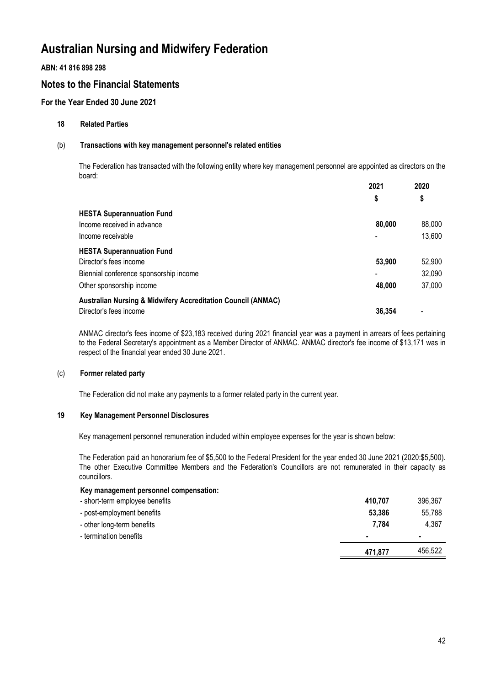## **ABN: 41 816 898 298**

# **Notes to the Financial Statements**

## **For the Year Ended 30 June 2021**

### **18 Related Parties**

### (b) **Transactions with key management personnel's related entities**

The Federation has transacted with the following entity where key management personnel are appointed as directors on the board: **2021 2020**

|                                                                         | 2021   | 2020   |
|-------------------------------------------------------------------------|--------|--------|
|                                                                         | \$     | \$     |
| <b>HESTA Superannuation Fund</b>                                        |        |        |
| Income received in advance                                              | 80,000 | 88,000 |
| Income receivable                                                       |        | 13,600 |
| <b>HESTA Superannuation Fund</b>                                        |        |        |
| Director's fees income                                                  | 53,900 | 52,900 |
| Biennial conference sponsorship income                                  |        | 32,090 |
| Other sponsorship income                                                | 48,000 | 37,000 |
| <b>Australian Nursing &amp; Midwifery Accreditation Council (ANMAC)</b> |        |        |
| Director's fees income                                                  | 36.354 |        |

ANMAC director's fees income of \$23,183 received during 2021 financial year was a payment in arrears of fees pertaining to the Federal Secretary's appointment as a Member Director of ANMAC. ANMAC director's fee income of \$13,171 was in respect of the financial year ended 30 June 2021.

#### (c) **Former related party**

The Federation did not make any payments to a former related party in the current year.

## **19 Key Management Personnel Disclosures**

Key management personnel remuneration included within employee expenses for the year is shown below:

The Federation paid an honorarium fee of \$5,500 to the Federal President for the year ended 30 June 2021 (2020:\$5,500). The other Executive Committee Members and the Federation's Councillors are not remunerated in their capacity as councillors.

### **Key management personnel compensation:**

| - short-term employee benefits | 410.707 | 396,367 |
|--------------------------------|---------|---------|
| - post-employment benefits     | 53,386  | 55,788  |
| - other long-term benefits     | 7.784   | 4,367   |
| - termination benefits         |         |         |
|                                | 471,877 | 456.522 |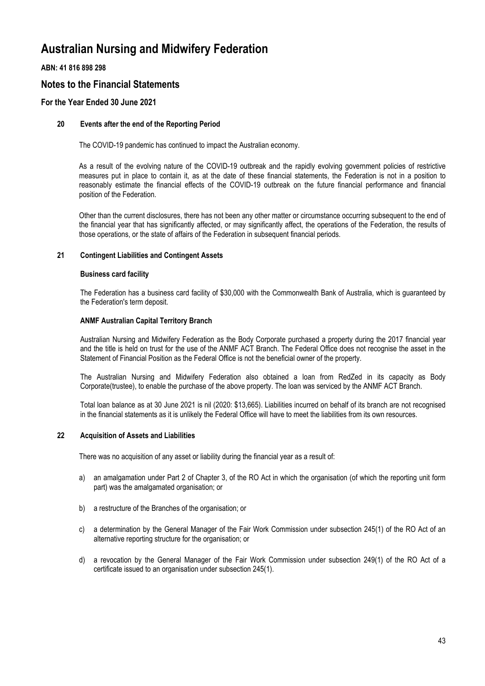## **ABN: 41 816 898 298**

# **Notes to the Financial Statements**

## **For the Year Ended 30 June 2021**

### **20 Events after the end of the Reporting Period**

The COVID-19 pandemic has continued to impact the Australian economy.

As a result of the evolving nature of the COVID-19 outbreak and the rapidly evolving government policies of restrictive measures put in place to contain it, as at the date of these financial statements, the Federation is not in a position to reasonably estimate the financial effects of the COVID-19 outbreak on the future financial performance and financial position of the Federation.

Other than the current disclosures, there has not been any other matter or circumstance occurring subsequent to the end of the financial year that has significantly affected, or may significantly affect, the operations of the Federation, the results of those operations, or the state of affairs of the Federation in subsequent financial periods.

### **21 Contingent Liabilities and Contingent Assets**

#### **Business card facility**

The Federation has a business card facility of \$30,000 with the Commonwealth Bank of Australia, which is guaranteed by the Federation's term deposit.

### **ANMF Australian Capital Territory Branch**

Australian Nursing and Midwifery Federation as the Body Corporate purchased a property during the 2017 financial year and the title is held on trust for the use of the ANMF ACT Branch. The Federal Office does not recognise the asset in the Statement of Financial Position as the Federal Office is not the beneficial owner of the property.

The Australian Nursing and Midwifery Federation also obtained a loan from RedZed in its capacity as Body Corporate(trustee), to enable the purchase of the above property. The loan was serviced by the ANMF ACT Branch.

Total loan balance as at 30 June 2021 is nil (2020: \$13,665). Liabilities incurred on behalf of its branch are not recognised in the financial statements as it is unlikely the Federal Office will have to meet the liabilities from its own resources.

### **22 Acquisition of Assets and Liabilities**

There was no acquisition of any asset or liability during the financial year as a result of:

- a) an amalgamation under Part 2 of Chapter 3, of the RO Act in which the organisation (of which the reporting unit form part) was the amalgamated organisation; or
- b) a restructure of the Branches of the organisation; or
- c) a determination by the General Manager of the Fair Work Commission under subsection 245(1) of the RO Act of an alternative reporting structure for the organisation; or
- d) a revocation by the General Manager of the Fair Work Commission under subsection 249(1) of the RO Act of a certificate issued to an organisation under subsection 245(1).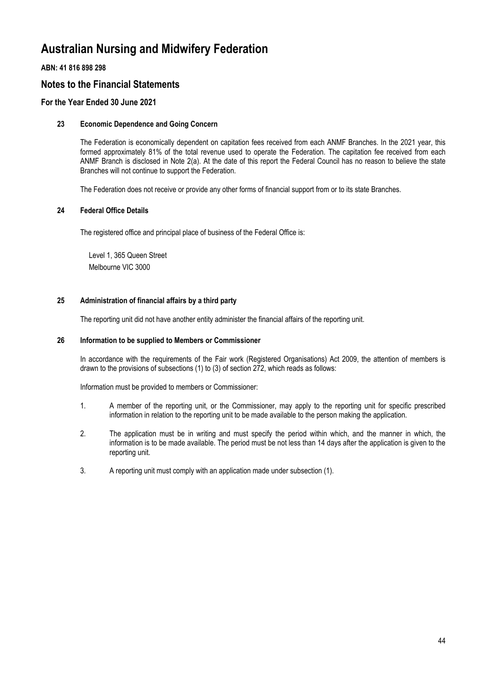## **ABN: 41 816 898 298**

# **Notes to the Financial Statements**

## **For the Year Ended 30 June 2021**

### **23 Economic Dependence and Going Concern**

The Federation is economically dependent on capitation fees received from each ANMF Branches. In the 2021 year, this formed approximately 81% of the total revenue used to operate the Federation. The capitation fee received from each ANMF Branch is disclosed in Note 2(a). At the date of this report the Federal Council has no reason to believe the state Branches will not continue to support the Federation.

The Federation does not receive or provide any other forms of financial support from or to its state Branches.

### **24 Federal Office Details**

The registered office and principal place of business of the Federal Office is:

Level 1, 365 Queen Street Melbourne VIC 3000

### **25 Administration of financial affairs by a third party**

The reporting unit did not have another entity administer the financial affairs of the reporting unit.

#### **26 Information to be supplied to Members or Commissioner**

In accordance with the requirements of the Fair work (Registered Organisations) Act 2009, the attention of members is drawn to the provisions of subsections (1) to (3) of section 272, which reads as follows:

Information must be provided to members or Commissioner:

- 1. A member of the reporting unit, or the Commissioner, may apply to the reporting unit for specific prescribed information in relation to the reporting unit to be made available to the person making the application.
- 2. The application must be in writing and must specify the period within which, and the manner in which, the information is to be made available. The period must be not less than 14 days after the application is given to the reporting unit.
- 3. A reporting unit must comply with an application made under subsection (1).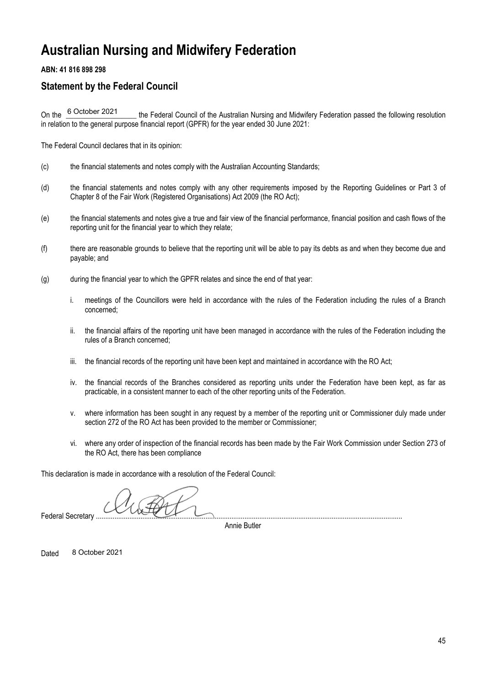## **ABN: 41 816 898 298**

# **Statement by the Federal Council**

the Federal Council of the Australian Nursing and Midwifery Federation passed the following resolution in relation to the general purpose financial report (GPFR) for the year ended 30 June 2021: On the 6 October 2021

The Federal Council declares that in its opinion:

- (c) the financial statements and notes comply with the Australian Accounting Standards;
- (d) the financial statements and notes comply with any other requirements imposed by the Reporting Guidelines or Part 3 of Chapter 8 of the Fair Work (Registered Organisations) Act 2009 (the RO Act);
- (e) the financial statements and notes give a true and fair view of the financial performance, financial position and cash flows of the reporting unit for the financial year to which they relate;
- (f) there are reasonable grounds to believe that the reporting unit will be able to pay its debts as and when they become due and payable; and
- (g) during the financial year to which the GPFR relates and since the end of that year:
	- i. meetings of the Councillors were held in accordance with the rules of the Federation including the rules of a Branch concerned;
	- ii. the financial affairs of the reporting unit have been managed in accordance with the rules of the Federation including the rules of a Branch concerned;
	- iii. the financial records of the reporting unit have been kept and maintained in accordance with the RO Act;
	- iv. the financial records of the Branches considered as reporting units under the Federation have been kept, as far as practicable, in a consistent manner to each of the other reporting units of the Federation.
	- v. where information has been sought in any request by a member of the reporting unit or Commissioner duly made under section 272 of the RO Act has been provided to the member or Commissioner;
	- vi. where any order of inspection of the financial records has been made by the Fair Work Commission under Section 273 of the RO Act, there has been compliance

This declaration is made in accordance with a resolution of the Federal Council:

Federal Secretary ...

Annie Butler

Dated 8 October 2021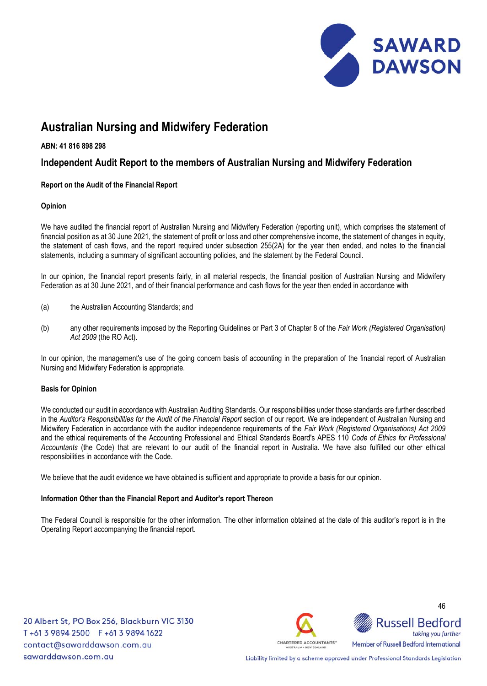

### **ABN: 41 816 898 298**

# **Independent Audit Report to the members of Australian Nursing and Midwifery Federation**

# **Report on the Audit of the Financial Report**

### **Opinion**

We have audited the financial report of Australian Nursing and Midwifery Federation (reporting unit), which comprises the statement of financial position as at 30 June 2021, the statement of profit or loss and other comprehensive income, the statement of changes in equity, the statement of cash flows, and the report required under subsection 255(2A) for the year then ended, and notes to the financial statements, including a summary of significant accounting policies, and the statement by the Federal Council.

In our opinion, the financial report presents fairly, in all material respects, the financial position of Australian Nursing and Midwifery Federation as at 30 June 2021, and of their financial performance and cash flows for the year then ended in accordance with

- (a) the Australian Accounting Standards; and
- (b) any other requirements imposed by the Reporting Guidelines or Part 3 of Chapter 8 of the *Fair Work (Registered Organisation) Act 2009* (the RO Act).

 In our opinion, the management's use of the going concern basis of accounting in the preparation of the financial report of Australian Nursing and Midwifery Federation is appropriate.

#### **Basis for Opinion**

We conducted our audit in accordance with Australian Auditing Standards. Our responsibilities under those standards are further described in the *Auditor's Responsibilities for the Audit of the Financial Report* section of our report. We are independent of Australian Nursing and Midwifery Federation in accordance with the auditor independence requirements of the *Fair Work (Registered Organisations) Act 2009* and the ethical requirements of the Accounting Professional and Ethical Standards Board's APES 110 *Code of Ethics for Professional Accountants* (the Code) that are relevant to our audit of the financial report in Australia. We have also fulfilled our other ethical responsibilities in accordance with the Code.

We believe that the audit evidence we have obtained is sufficient and appropriate to provide a basis for our opinion.

#### **Information Other than the Financial Report and Auditor's report Thereon**

The Federal Council is responsible for the other information. The other information obtained at the date of this auditor's report is in the Operating Report accompanying the financial report.

20 Albert St, PO Box 256, Blackburn VIC 3130 T+61 3 9894 2500 F+61 3 9894 1622 contact@sawarddawson.com.au sawarddawson.com.au





Liability limited by a scheme approved under Professional Standards Legislation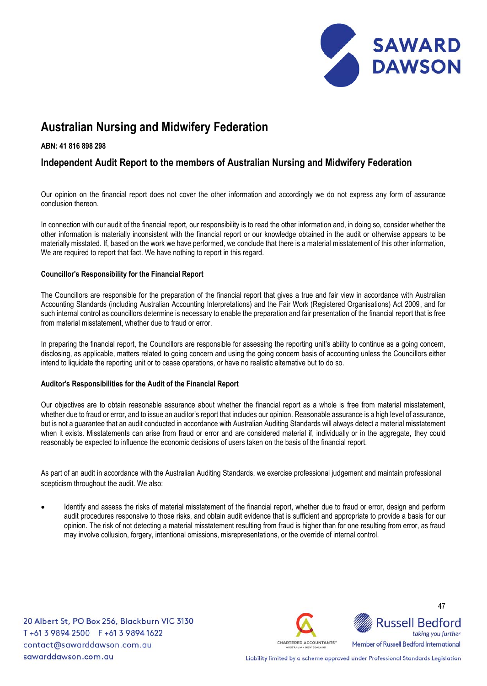

### **ABN: 41 816 898 298**

# **Independent Audit Report to the members of Australian Nursing and Midwifery Federation**

 Our opinion on the financial report does not cover the other information and accordingly we do not express any form of assurance conclusion thereon.

In connection with our audit of the financial report, our responsibility is to read the other information and, in doing so, consider whether the other information is materially inconsistent with the financial report or our knowledge obtained in the audit or otherwise appears to be materially misstated. If, based on the work we have performed, we conclude that there is a material misstatement of this other information, We are required to report that fact. We have nothing to report in this regard.

### **Councillor's Responsibility for the Financial Report**

The Councillors are responsible for the preparation of the financial report that gives a true and fair view in accordance with Australian Accounting Standards (including Australian Accounting Interpretations) and the Fair Work (Registered Organisations) Act 2009, and for such internal control as councillors determine is necessary to enable the preparation and fair presentation of the financial report that is free from material misstatement, whether due to fraud or error.

 disclosing, as applicable, matters related to going concern and using the going concern basis of accounting unless the Councillors either In preparing the financial report, the Councillors are responsible for assessing the reporting unit's ability to continue as a going concern, intend to liquidate the reporting unit or to cease operations, or have no realistic alternative but to do so.

### **Auditor's Responsibilities for the Audit of the Financial Report**

Our objectives are to obtain reasonable assurance about whether the financial report as a whole is free from material misstatement, whether due to fraud or error, and to issue an auditor's report that includes our opinion. Reasonable assurance is a high level of assurance, but is not a guarantee that an audit conducted in accordance with Australian Auditing Standards will always detect a material misstatement when it exists. Misstatements can arise from fraud or error and are considered material if, individually or in the aggregate, they could reasonably be expected to influence the economic decisions of users taken on the basis of the financial report.

As part of an audit in accordance with the Australian Auditing Standards, we exercise professional judgement and maintain professional scepticism throughout the audit. We also:

• Identify and assess the risks of material misstatement of the financial report, whether due to fraud or error, design and perform audit procedures responsive to those risks, and obtain audit evidence that is sufficient and appropriate to provide a basis for our opinion. The risk of not detecting a material misstatement resulting from fraud is higher than for one resulting from error, as fraud may involve collusion, forgery, intentional omissions, misrepresentations, or the override of internal control.

20 Albert St, PO Box 256, Blackburn VIC 3130 T+61 3 9894 2500 F+61 3 9894 1622 contact@sawarddawson.com.au sawarddawson.com.au





Liability limited by a scheme approved under Professional Standards Legislation